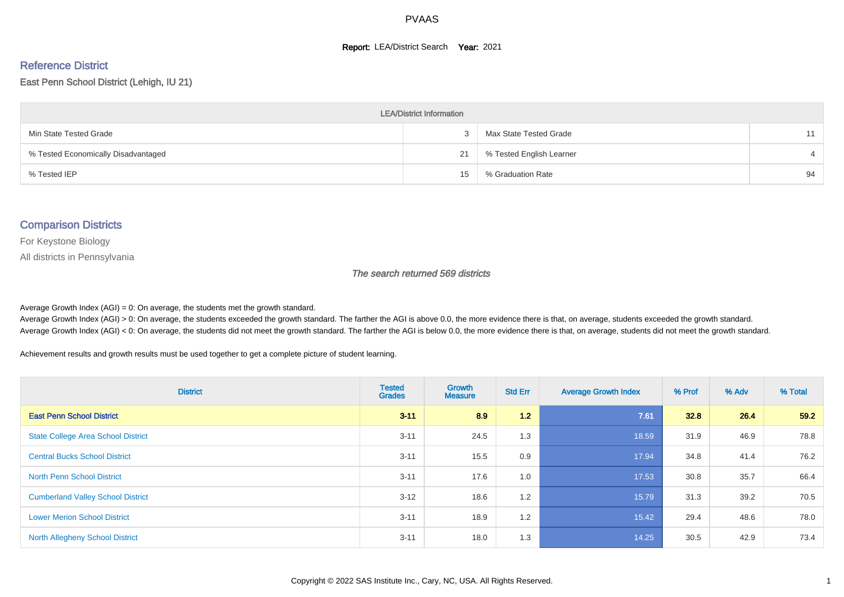#### **Report: LEA/District Search Year: 2021**

#### Reference District

East Penn School District (Lehigh, IU 21)

| <b>LEA/District Information</b>     |    |                          |    |  |  |  |  |  |  |  |
|-------------------------------------|----|--------------------------|----|--|--|--|--|--|--|--|
| Min State Tested Grade              |    | Max State Tested Grade   | 11 |  |  |  |  |  |  |  |
| % Tested Economically Disadvantaged | 21 | % Tested English Learner |    |  |  |  |  |  |  |  |
| % Tested IEP                        | 15 | % Graduation Rate        | 94 |  |  |  |  |  |  |  |

#### Comparison Districts

For Keystone Biology

All districts in Pennsylvania

The search returned 569 districts

Average Growth Index  $(AGI) = 0$ : On average, the students met the growth standard.

Average Growth Index (AGI) > 0: On average, the students exceeded the growth standard. The farther the AGI is above 0.0, the more evidence there is that, on average, students exceeded the growth standard. Average Growth Index (AGI) < 0: On average, the students did not meet the growth standard. The farther the AGI is below 0.0, the more evidence there is that, on average, students did not meet the growth standard.

Achievement results and growth results must be used together to get a complete picture of student learning.

| <b>District</b>                           | <b>Tested</b><br><b>Grades</b> | <b>Growth</b><br><b>Measure</b> | <b>Std Err</b> | <b>Average Growth Index</b> | % Prof | % Adv | % Total |
|-------------------------------------------|--------------------------------|---------------------------------|----------------|-----------------------------|--------|-------|---------|
| <b>East Penn School District</b>          | $3 - 11$                       | 8.9                             | 1.2            | 7.61                        | 32.8   | 26.4  | 59.2    |
| <b>State College Area School District</b> | $3 - 11$                       | 24.5                            | 1.3            | 18.59                       | 31.9   | 46.9  | 78.8    |
| <b>Central Bucks School District</b>      | $3 - 11$                       | 15.5                            | 0.9            | 17.94                       | 34.8   | 41.4  | 76.2    |
| <b>North Penn School District</b>         | $3 - 11$                       | 17.6                            | 1.0            | 17.53                       | 30.8   | 35.7  | 66.4    |
| <b>Cumberland Valley School District</b>  | $3 - 12$                       | 18.6                            | 1.2            | 15.79                       | 31.3   | 39.2  | 70.5    |
| <b>Lower Merion School District</b>       | $3 - 11$                       | 18.9                            | 1.2            | 15.42                       | 29.4   | 48.6  | 78.0    |
| <b>North Allegheny School District</b>    | $3 - 11$                       | 18.0                            | 1.3            | 14.25                       | 30.5   | 42.9  | 73.4    |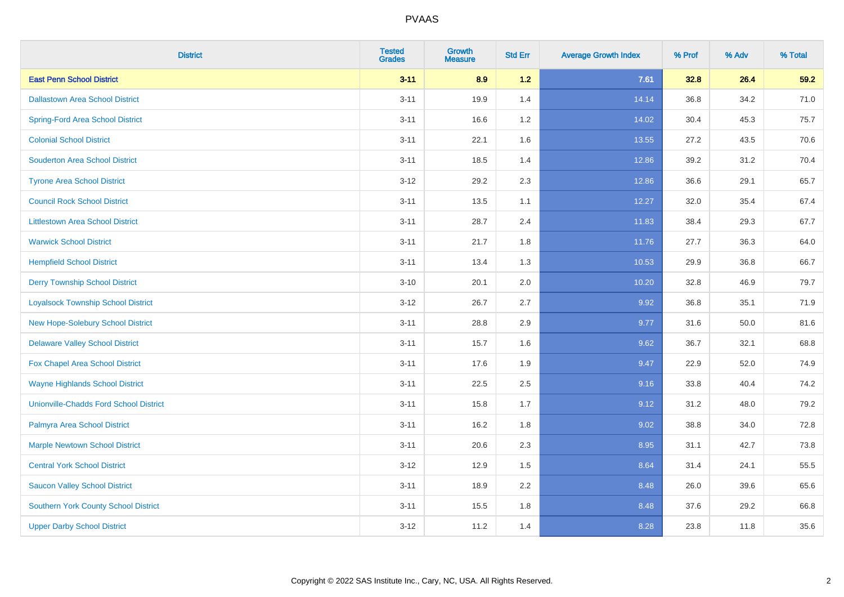| <b>District</b>                               | <b>Tested</b><br><b>Grades</b> | <b>Growth</b><br><b>Measure</b> | <b>Std Err</b> | <b>Average Growth Index</b> | % Prof | % Adv | % Total |
|-----------------------------------------------|--------------------------------|---------------------------------|----------------|-----------------------------|--------|-------|---------|
| <b>East Penn School District</b>              | $3 - 11$                       | 8.9                             | $1.2$          | 7.61                        | 32.8   | 26.4  | 59.2    |
| <b>Dallastown Area School District</b>        | $3 - 11$                       | 19.9                            | 1.4            | 14.14                       | 36.8   | 34.2  | 71.0    |
| <b>Spring-Ford Area School District</b>       | $3 - 11$                       | 16.6                            | 1.2            | 14.02                       | 30.4   | 45.3  | 75.7    |
| <b>Colonial School District</b>               | $3 - 11$                       | 22.1                            | 1.6            | 13.55                       | 27.2   | 43.5  | 70.6    |
| <b>Souderton Area School District</b>         | $3 - 11$                       | 18.5                            | 1.4            | 12.86                       | 39.2   | 31.2  | 70.4    |
| <b>Tyrone Area School District</b>            | $3-12$                         | 29.2                            | 2.3            | 12.86                       | 36.6   | 29.1  | 65.7    |
| <b>Council Rock School District</b>           | $3 - 11$                       | 13.5                            | 1.1            | 12.27                       | 32.0   | 35.4  | 67.4    |
| <b>Littlestown Area School District</b>       | $3 - 11$                       | 28.7                            | 2.4            | 11.83                       | 38.4   | 29.3  | 67.7    |
| <b>Warwick School District</b>                | $3 - 11$                       | 21.7                            | 1.8            | 11.76                       | 27.7   | 36.3  | 64.0    |
| <b>Hempfield School District</b>              | $3 - 11$                       | 13.4                            | 1.3            | 10.53                       | 29.9   | 36.8  | 66.7    |
| <b>Derry Township School District</b>         | $3 - 10$                       | 20.1                            | 2.0            | 10.20                       | 32.8   | 46.9  | 79.7    |
| <b>Loyalsock Township School District</b>     | $3 - 12$                       | 26.7                            | 2.7            | 9.92                        | 36.8   | 35.1  | 71.9    |
| New Hope-Solebury School District             | $3 - 11$                       | 28.8                            | 2.9            | 9.77                        | 31.6   | 50.0  | 81.6    |
| <b>Delaware Valley School District</b>        | $3 - 11$                       | 15.7                            | 1.6            | 9.62                        | 36.7   | 32.1  | 68.8    |
| Fox Chapel Area School District               | $3 - 11$                       | 17.6                            | 1.9            | 9.47                        | 22.9   | 52.0  | 74.9    |
| <b>Wayne Highlands School District</b>        | $3 - 11$                       | 22.5                            | 2.5            | 9.16                        | 33.8   | 40.4  | 74.2    |
| <b>Unionville-Chadds Ford School District</b> | $3 - 11$                       | 15.8                            | 1.7            | 9.12                        | 31.2   | 48.0  | 79.2    |
| Palmyra Area School District                  | $3 - 11$                       | 16.2                            | 1.8            | 9.02                        | 38.8   | 34.0  | 72.8    |
| <b>Marple Newtown School District</b>         | $3 - 11$                       | 20.6                            | 2.3            | 8.95                        | 31.1   | 42.7  | 73.8    |
| <b>Central York School District</b>           | $3 - 12$                       | 12.9                            | 1.5            | 8.64                        | 31.4   | 24.1  | 55.5    |
| <b>Saucon Valley School District</b>          | $3 - 11$                       | 18.9                            | 2.2            | 8.48                        | 26.0   | 39.6  | 65.6    |
| <b>Southern York County School District</b>   | $3 - 11$                       | 15.5                            | 1.8            | 8.48                        | 37.6   | 29.2  | 66.8    |
| <b>Upper Darby School District</b>            | $3 - 12$                       | 11.2                            | 1.4            | 8.28                        | 23.8   | 11.8  | 35.6    |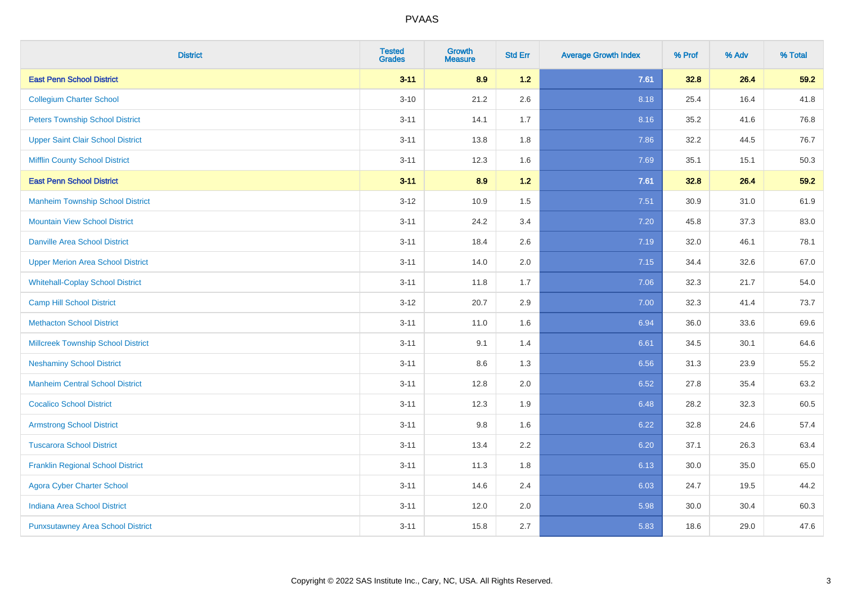| <b>District</b>                           | <b>Tested</b><br><b>Grades</b> | <b>Growth</b><br><b>Measure</b> | <b>Std Err</b> | <b>Average Growth Index</b> | % Prof | % Adv | % Total |
|-------------------------------------------|--------------------------------|---------------------------------|----------------|-----------------------------|--------|-------|---------|
| <b>East Penn School District</b>          | $3 - 11$                       | 8.9                             | 1.2            | 7.61                        | 32.8   | 26.4  | 59.2    |
| <b>Collegium Charter School</b>           | $3 - 10$                       | 21.2                            | 2.6            | 8.18                        | 25.4   | 16.4  | 41.8    |
| <b>Peters Township School District</b>    | $3 - 11$                       | 14.1                            | 1.7            | 8.16                        | 35.2   | 41.6  | 76.8    |
| <b>Upper Saint Clair School District</b>  | $3 - 11$                       | 13.8                            | 1.8            | 7.86                        | 32.2   | 44.5  | 76.7    |
| <b>Mifflin County School District</b>     | $3 - 11$                       | 12.3                            | 1.6            | 7.69                        | 35.1   | 15.1  | 50.3    |
| <b>East Penn School District</b>          | $3 - 11$                       | 8.9                             | 1.2            | 7.61                        | 32.8   | 26.4  | 59.2    |
| <b>Manheim Township School District</b>   | $3 - 12$                       | 10.9                            | 1.5            | 7.51                        | 30.9   | 31.0  | 61.9    |
| <b>Mountain View School District</b>      | $3 - 11$                       | 24.2                            | 3.4            | 7.20                        | 45.8   | 37.3  | 83.0    |
| <b>Danville Area School District</b>      | $3 - 11$                       | 18.4                            | 2.6            | 7.19                        | 32.0   | 46.1  | 78.1    |
| <b>Upper Merion Area School District</b>  | $3 - 11$                       | 14.0                            | 2.0            | 7.15                        | 34.4   | 32.6  | 67.0    |
| <b>Whitehall-Coplay School District</b>   | $3 - 11$                       | 11.8                            | 1.7            | 7.06                        | 32.3   | 21.7  | 54.0    |
| <b>Camp Hill School District</b>          | $3 - 12$                       | 20.7                            | 2.9            | 7.00                        | 32.3   | 41.4  | 73.7    |
| <b>Methacton School District</b>          | $3 - 11$                       | 11.0                            | 1.6            | 6.94                        | 36.0   | 33.6  | 69.6    |
| <b>Millcreek Township School District</b> | $3 - 11$                       | 9.1                             | 1.4            | 6.61                        | 34.5   | 30.1  | 64.6    |
| <b>Neshaminy School District</b>          | $3 - 11$                       | $8.6\,$                         | 1.3            | 6.56                        | 31.3   | 23.9  | 55.2    |
| <b>Manheim Central School District</b>    | $3 - 11$                       | 12.8                            | 2.0            | 6.52                        | 27.8   | 35.4  | 63.2    |
| <b>Cocalico School District</b>           | $3 - 11$                       | 12.3                            | 1.9            | 6.48                        | 28.2   | 32.3  | 60.5    |
| <b>Armstrong School District</b>          | $3 - 11$                       | 9.8                             | 1.6            | 6.22                        | 32.8   | 24.6  | 57.4    |
| <b>Tuscarora School District</b>          | $3 - 11$                       | 13.4                            | 2.2            | 6.20                        | 37.1   | 26.3  | 63.4    |
| <b>Franklin Regional School District</b>  | $3 - 11$                       | 11.3                            | 1.8            | 6.13                        | 30.0   | 35.0  | 65.0    |
| <b>Agora Cyber Charter School</b>         | $3 - 11$                       | 14.6                            | 2.4            | 6.03                        | 24.7   | 19.5  | 44.2    |
| <b>Indiana Area School District</b>       | $3 - 11$                       | 12.0                            | 2.0            | 5.98                        | 30.0   | 30.4  | 60.3    |
| <b>Punxsutawney Area School District</b>  | $3 - 11$                       | 15.8                            | 2.7            | 5.83                        | 18.6   | 29.0  | 47.6    |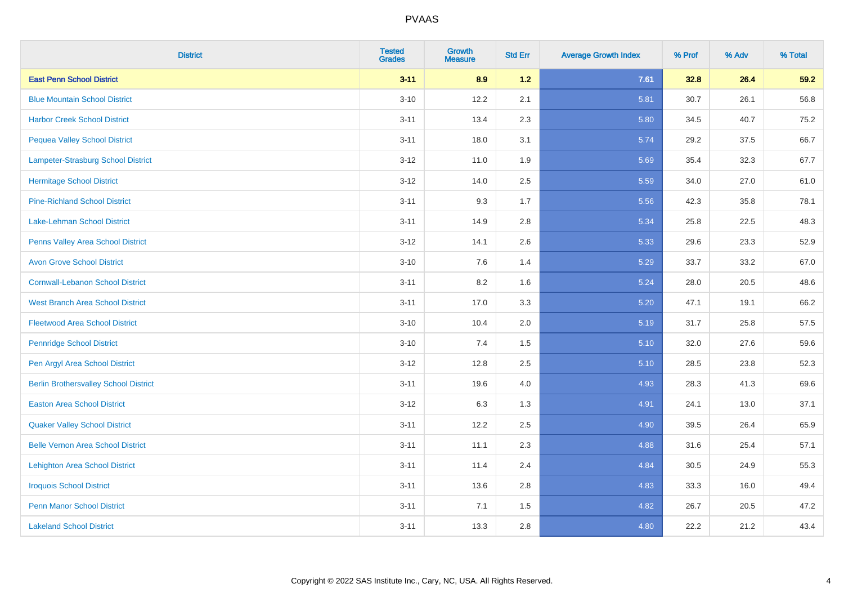| <b>District</b>                              | <b>Tested</b><br><b>Grades</b> | <b>Growth</b><br><b>Measure</b> | <b>Std Err</b> | <b>Average Growth Index</b> | % Prof | % Adv | % Total |
|----------------------------------------------|--------------------------------|---------------------------------|----------------|-----------------------------|--------|-------|---------|
| <b>East Penn School District</b>             | $3 - 11$                       | 8.9                             | $1.2$          | 7.61                        | 32.8   | 26.4  | 59.2    |
| <b>Blue Mountain School District</b>         | $3 - 10$                       | 12.2                            | 2.1            | 5.81                        | 30.7   | 26.1  | 56.8    |
| <b>Harbor Creek School District</b>          | $3 - 11$                       | 13.4                            | 2.3            | 5.80                        | 34.5   | 40.7  | 75.2    |
| <b>Pequea Valley School District</b>         | $3 - 11$                       | 18.0                            | 3.1            | 5.74                        | 29.2   | 37.5  | 66.7    |
| Lampeter-Strasburg School District           | $3 - 12$                       | 11.0                            | 1.9            | 5.69                        | 35.4   | 32.3  | 67.7    |
| <b>Hermitage School District</b>             | $3-12$                         | 14.0                            | 2.5            | 5.59                        | 34.0   | 27.0  | 61.0    |
| <b>Pine-Richland School District</b>         | $3 - 11$                       | 9.3                             | 1.7            | 5.56                        | 42.3   | 35.8  | 78.1    |
| Lake-Lehman School District                  | $3 - 11$                       | 14.9                            | 2.8            | 5.34                        | 25.8   | 22.5  | 48.3    |
| <b>Penns Valley Area School District</b>     | $3-12$                         | 14.1                            | 2.6            | 5.33                        | 29.6   | 23.3  | 52.9    |
| <b>Avon Grove School District</b>            | $3 - 10$                       | $7.6\,$                         | 1.4            | 5.29                        | 33.7   | 33.2  | 67.0    |
| <b>Cornwall-Lebanon School District</b>      | $3 - 11$                       | 8.2                             | 1.6            | 5.24                        | 28.0   | 20.5  | 48.6    |
| <b>West Branch Area School District</b>      | $3 - 11$                       | 17.0                            | 3.3            | 5.20                        | 47.1   | 19.1  | 66.2    |
| <b>Fleetwood Area School District</b>        | $3 - 10$                       | 10.4                            | 2.0            | 5.19                        | 31.7   | 25.8  | 57.5    |
| <b>Pennridge School District</b>             | $3 - 10$                       | 7.4                             | 1.5            | 5.10                        | 32.0   | 27.6  | 59.6    |
| Pen Argyl Area School District               | $3 - 12$                       | 12.8                            | 2.5            | 5.10                        | 28.5   | 23.8  | 52.3    |
| <b>Berlin Brothersvalley School District</b> | $3 - 11$                       | 19.6                            | 4.0            | 4.93                        | 28.3   | 41.3  | 69.6    |
| <b>Easton Area School District</b>           | $3-12$                         | 6.3                             | 1.3            | 4.91                        | 24.1   | 13.0  | 37.1    |
| <b>Quaker Valley School District</b>         | $3 - 11$                       | 12.2                            | 2.5            | 4.90                        | 39.5   | 26.4  | 65.9    |
| <b>Belle Vernon Area School District</b>     | $3 - 11$                       | 11.1                            | 2.3            | 4.88                        | 31.6   | 25.4  | 57.1    |
| <b>Lehighton Area School District</b>        | $3 - 11$                       | 11.4                            | 2.4            | 4.84                        | 30.5   | 24.9  | 55.3    |
| <b>Iroquois School District</b>              | $3 - 11$                       | 13.6                            | 2.8            | 4.83                        | 33.3   | 16.0  | 49.4    |
| <b>Penn Manor School District</b>            | $3 - 11$                       | 7.1                             | 1.5            | 4.82                        | 26.7   | 20.5  | 47.2    |
| <b>Lakeland School District</b>              | $3 - 11$                       | 13.3                            | 2.8            | 4.80                        | 22.2   | 21.2  | 43.4    |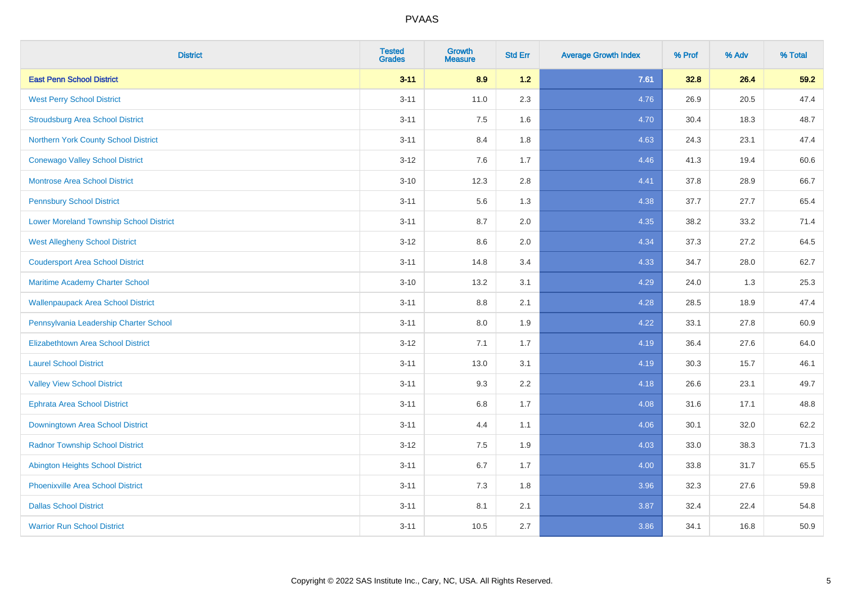| <b>District</b>                                | <b>Tested</b><br><b>Grades</b> | <b>Growth</b><br><b>Measure</b> | <b>Std Err</b> | <b>Average Growth Index</b> | % Prof | % Adv | % Total |
|------------------------------------------------|--------------------------------|---------------------------------|----------------|-----------------------------|--------|-------|---------|
| <b>East Penn School District</b>               | $3 - 11$                       | 8.9                             | 1.2            | 7.61                        | 32.8   | 26.4  | 59.2    |
| <b>West Perry School District</b>              | $3 - 11$                       | 11.0                            | 2.3            | 4.76                        | 26.9   | 20.5  | 47.4    |
| <b>Stroudsburg Area School District</b>        | $3 - 11$                       | 7.5                             | 1.6            | 4.70                        | 30.4   | 18.3  | 48.7    |
| Northern York County School District           | $3 - 11$                       | 8.4                             | 1.8            | 4.63                        | 24.3   | 23.1  | 47.4    |
| <b>Conewago Valley School District</b>         | $3 - 12$                       | 7.6                             | 1.7            | 4.46                        | 41.3   | 19.4  | 60.6    |
| <b>Montrose Area School District</b>           | $3 - 10$                       | 12.3                            | 2.8            | 4.41                        | 37.8   | 28.9  | 66.7    |
| <b>Pennsbury School District</b>               | $3 - 11$                       | 5.6                             | 1.3            | 4.38                        | 37.7   | 27.7  | 65.4    |
| <b>Lower Moreland Township School District</b> | $3 - 11$                       | 8.7                             | 2.0            | 4.35                        | 38.2   | 33.2  | 71.4    |
| <b>West Allegheny School District</b>          | $3 - 12$                       | 8.6                             | 2.0            | 4.34                        | 37.3   | 27.2  | 64.5    |
| <b>Coudersport Area School District</b>        | $3 - 11$                       | 14.8                            | 3.4            | 4.33                        | 34.7   | 28.0  | 62.7    |
| Maritime Academy Charter School                | $3 - 10$                       | 13.2                            | 3.1            | 4.29                        | 24.0   | 1.3   | 25.3    |
| <b>Wallenpaupack Area School District</b>      | $3 - 11$                       | 8.8                             | 2.1            | 4.28                        | 28.5   | 18.9  | 47.4    |
| Pennsylvania Leadership Charter School         | $3 - 11$                       | 8.0                             | 1.9            | 4.22                        | 33.1   | 27.8  | 60.9    |
| <b>Elizabethtown Area School District</b>      | $3 - 12$                       | 7.1                             | 1.7            | 4.19                        | 36.4   | 27.6  | 64.0    |
| <b>Laurel School District</b>                  | $3 - 11$                       | 13.0                            | 3.1            | 4.19                        | 30.3   | 15.7  | 46.1    |
| <b>Valley View School District</b>             | $3 - 11$                       | 9.3                             | 2.2            | 4.18                        | 26.6   | 23.1  | 49.7    |
| <b>Ephrata Area School District</b>            | $3 - 11$                       | $6.8\,$                         | 1.7            | 4.08                        | 31.6   | 17.1  | 48.8    |
| Downingtown Area School District               | $3 - 11$                       | 4.4                             | 1.1            | 4.06                        | 30.1   | 32.0  | 62.2    |
| <b>Radnor Township School District</b>         | $3 - 12$                       | 7.5                             | 1.9            | 4.03                        | 33.0   | 38.3  | 71.3    |
| <b>Abington Heights School District</b>        | $3 - 11$                       | 6.7                             | 1.7            | 4.00                        | 33.8   | 31.7  | 65.5    |
| <b>Phoenixville Area School District</b>       | $3 - 11$                       | 7.3                             | 1.8            | 3.96                        | 32.3   | 27.6  | 59.8    |
| <b>Dallas School District</b>                  | $3 - 11$                       | 8.1                             | 2.1            | 3.87                        | 32.4   | 22.4  | 54.8    |
| <b>Warrior Run School District</b>             | $3 - 11$                       | 10.5                            | 2.7            | 3.86                        | 34.1   | 16.8  | 50.9    |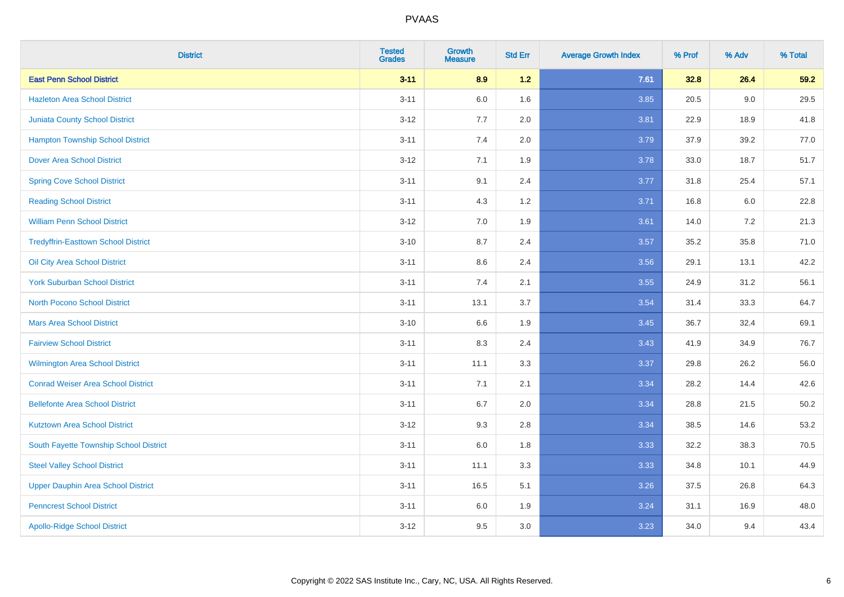| <b>District</b>                            | <b>Tested</b><br><b>Grades</b> | <b>Growth</b><br><b>Measure</b> | <b>Std Err</b> | <b>Average Growth Index</b> | % Prof | % Adv | % Total  |
|--------------------------------------------|--------------------------------|---------------------------------|----------------|-----------------------------|--------|-------|----------|
| <b>East Penn School District</b>           | $3 - 11$                       | 8.9                             | 1.2            | 7.61                        | 32.8   | 26.4  | 59.2     |
| <b>Hazleton Area School District</b>       | $3 - 11$                       | $6.0\,$                         | 1.6            | 3.85                        | 20.5   | 9.0   | 29.5     |
| <b>Juniata County School District</b>      | $3 - 12$                       | 7.7                             | 2.0            | 3.81                        | 22.9   | 18.9  | 41.8     |
| <b>Hampton Township School District</b>    | $3 - 11$                       | 7.4                             | 2.0            | 3.79                        | 37.9   | 39.2  | 77.0     |
| <b>Dover Area School District</b>          | $3 - 12$                       | 7.1                             | 1.9            | 3.78                        | 33.0   | 18.7  | 51.7     |
| <b>Spring Cove School District</b>         | $3 - 11$                       | 9.1                             | 2.4            | 3.77                        | 31.8   | 25.4  | 57.1     |
| <b>Reading School District</b>             | $3 - 11$                       | 4.3                             | 1.2            | 3.71                        | 16.8   | 6.0   | 22.8     |
| <b>William Penn School District</b>        | $3 - 12$                       | 7.0                             | 1.9            | 3.61                        | 14.0   | 7.2   | 21.3     |
| <b>Tredyffrin-Easttown School District</b> | $3 - 10$                       | 8.7                             | 2.4            | 3.57                        | 35.2   | 35.8  | 71.0     |
| Oil City Area School District              | $3 - 11$                       | 8.6                             | 2.4            | 3.56                        | 29.1   | 13.1  | 42.2     |
| <b>York Suburban School District</b>       | $3 - 11$                       | 7.4                             | 2.1            | 3.55                        | 24.9   | 31.2  | 56.1     |
| <b>North Pocono School District</b>        | $3 - 11$                       | 13.1                            | 3.7            | 3.54                        | 31.4   | 33.3  | 64.7     |
| <b>Mars Area School District</b>           | $3 - 10$                       | 6.6                             | 1.9            | 3.45                        | 36.7   | 32.4  | 69.1     |
| <b>Fairview School District</b>            | $3 - 11$                       | 8.3                             | 2.4            | 3.43                        | 41.9   | 34.9  | 76.7     |
| <b>Wilmington Area School District</b>     | $3 - 11$                       | 11.1                            | 3.3            | 3.37                        | 29.8   | 26.2  | 56.0     |
| <b>Conrad Weiser Area School District</b>  | $3 - 11$                       | 7.1                             | 2.1            | 3.34                        | 28.2   | 14.4  | 42.6     |
| <b>Bellefonte Area School District</b>     | $3 - 11$                       | 6.7                             | 2.0            | 3.34                        | 28.8   | 21.5  | $50.2\,$ |
| <b>Kutztown Area School District</b>       | $3 - 12$                       | 9.3                             | 2.8            | 3.34                        | 38.5   | 14.6  | 53.2     |
| South Fayette Township School District     | $3 - 11$                       | $6.0\,$                         | 1.8            | 3.33                        | 32.2   | 38.3  | 70.5     |
| <b>Steel Valley School District</b>        | $3 - 11$                       | 11.1                            | 3.3            | 3.33                        | 34.8   | 10.1  | 44.9     |
| Upper Dauphin Area School District         | $3 - 11$                       | 16.5                            | 5.1            | 3.26                        | 37.5   | 26.8  | 64.3     |
| <b>Penncrest School District</b>           | $3 - 11$                       | 6.0                             | 1.9            | 3.24                        | 31.1   | 16.9  | 48.0     |
| <b>Apollo-Ridge School District</b>        | $3 - 12$                       | 9.5                             | 3.0            | 3.23                        | 34.0   | 9.4   | 43.4     |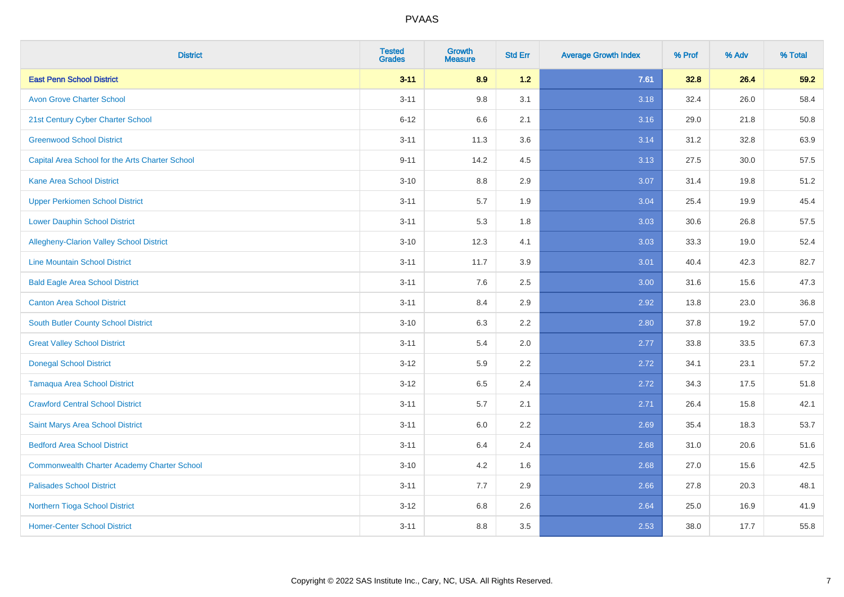| <b>District</b>                                    | <b>Tested</b><br><b>Grades</b> | <b>Growth</b><br><b>Measure</b> | <b>Std Err</b> | <b>Average Growth Index</b> | % Prof | % Adv | % Total |
|----------------------------------------------------|--------------------------------|---------------------------------|----------------|-----------------------------|--------|-------|---------|
| <b>East Penn School District</b>                   | $3 - 11$                       | 8.9                             | $1.2$          | 7.61                        | 32.8   | 26.4  | 59.2    |
| <b>Avon Grove Charter School</b>                   | $3 - 11$                       | 9.8                             | 3.1            | 3.18                        | 32.4   | 26.0  | 58.4    |
| 21st Century Cyber Charter School                  | $6 - 12$                       | 6.6                             | 2.1            | 3.16                        | 29.0   | 21.8  | 50.8    |
| <b>Greenwood School District</b>                   | $3 - 11$                       | 11.3                            | 3.6            | 3.14                        | 31.2   | 32.8  | 63.9    |
| Capital Area School for the Arts Charter School    | $9 - 11$                       | 14.2                            | 4.5            | 3.13                        | 27.5   | 30.0  | 57.5    |
| <b>Kane Area School District</b>                   | $3 - 10$                       | 8.8                             | 2.9            | 3.07                        | 31.4   | 19.8  | 51.2    |
| <b>Upper Perkiomen School District</b>             | $3 - 11$                       | 5.7                             | 1.9            | 3.04                        | 25.4   | 19.9  | 45.4    |
| <b>Lower Dauphin School District</b>               | $3 - 11$                       | 5.3                             | 1.8            | 3.03                        | 30.6   | 26.8  | 57.5    |
| Allegheny-Clarion Valley School District           | $3 - 10$                       | 12.3                            | 4.1            | 3.03                        | 33.3   | 19.0  | 52.4    |
| <b>Line Mountain School District</b>               | $3 - 11$                       | 11.7                            | 3.9            | 3.01                        | 40.4   | 42.3  | 82.7    |
| <b>Bald Eagle Area School District</b>             | $3 - 11$                       | 7.6                             | 2.5            | 3.00                        | 31.6   | 15.6  | 47.3    |
| <b>Canton Area School District</b>                 | $3 - 11$                       | 8.4                             | 2.9            | 2.92                        | 13.8   | 23.0  | 36.8    |
| South Butler County School District                | $3 - 10$                       | 6.3                             | 2.2            | 2.80                        | 37.8   | 19.2  | 57.0    |
| <b>Great Valley School District</b>                | $3 - 11$                       | 5.4                             | 2.0            | 2.77                        | 33.8   | 33.5  | 67.3    |
| <b>Donegal School District</b>                     | $3 - 12$                       | 5.9                             | 2.2            | 2.72                        | 34.1   | 23.1  | 57.2    |
| <b>Tamaqua Area School District</b>                | $3 - 12$                       | 6.5                             | 2.4            | 2.72                        | 34.3   | 17.5  | 51.8    |
| <b>Crawford Central School District</b>            | $3 - 11$                       | 5.7                             | 2.1            | 2.71                        | 26.4   | 15.8  | 42.1    |
| Saint Marys Area School District                   | $3 - 11$                       | 6.0                             | 2.2            | 2.69                        | 35.4   | 18.3  | 53.7    |
| <b>Bedford Area School District</b>                | $3 - 11$                       | 6.4                             | 2.4            | 2.68                        | 31.0   | 20.6  | 51.6    |
| <b>Commonwealth Charter Academy Charter School</b> | $3 - 10$                       | 4.2                             | 1.6            | 2.68                        | 27.0   | 15.6  | 42.5    |
| <b>Palisades School District</b>                   | $3 - 11$                       | 7.7                             | 2.9            | 2.66                        | 27.8   | 20.3  | 48.1    |
| Northern Tioga School District                     | $3 - 12$                       | 6.8                             | 2.6            | 2.64                        | 25.0   | 16.9  | 41.9    |
| <b>Homer-Center School District</b>                | $3 - 11$                       | 8.8                             | 3.5            | 2.53                        | 38.0   | 17.7  | 55.8    |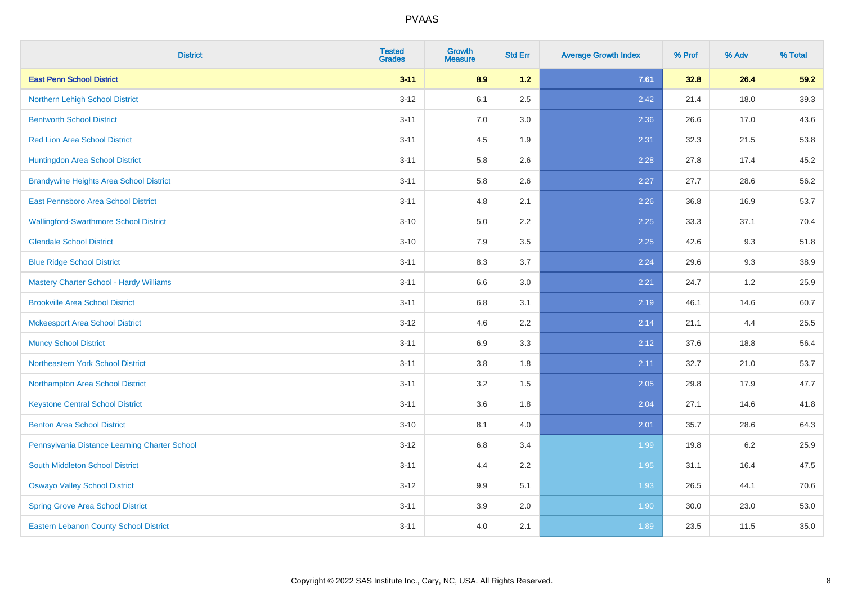| <b>District</b>                                | <b>Tested</b><br><b>Grades</b> | <b>Growth</b><br><b>Measure</b> | <b>Std Err</b> | <b>Average Growth Index</b> | % Prof | % Adv | % Total |
|------------------------------------------------|--------------------------------|---------------------------------|----------------|-----------------------------|--------|-------|---------|
| <b>East Penn School District</b>               | $3 - 11$                       | 8.9                             | 1.2            | 7.61                        | 32.8   | 26.4  | 59.2    |
| Northern Lehigh School District                | $3 - 12$                       | 6.1                             | 2.5            | 2.42                        | 21.4   | 18.0  | 39.3    |
| <b>Bentworth School District</b>               | $3 - 11$                       | 7.0                             | 3.0            | 2.36                        | 26.6   | 17.0  | 43.6    |
| <b>Red Lion Area School District</b>           | $3 - 11$                       | 4.5                             | 1.9            | 2.31                        | 32.3   | 21.5  | 53.8    |
| Huntingdon Area School District                | $3 - 11$                       | 5.8                             | 2.6            | 2.28                        | 27.8   | 17.4  | 45.2    |
| <b>Brandywine Heights Area School District</b> | $3 - 11$                       | 5.8                             | 2.6            | 2.27                        | 27.7   | 28.6  | 56.2    |
| East Pennsboro Area School District            | $3 - 11$                       | 4.8                             | 2.1            | 2.26                        | 36.8   | 16.9  | 53.7    |
| <b>Wallingford-Swarthmore School District</b>  | $3 - 10$                       | 5.0                             | 2.2            | 2.25                        | 33.3   | 37.1  | 70.4    |
| <b>Glendale School District</b>                | $3 - 10$                       | 7.9                             | 3.5            | 2.25                        | 42.6   | 9.3   | 51.8    |
| <b>Blue Ridge School District</b>              | $3 - 11$                       | 8.3                             | 3.7            | 2.24                        | 29.6   | 9.3   | 38.9    |
| <b>Mastery Charter School - Hardy Williams</b> | $3 - 11$                       | 6.6                             | 3.0            | 2.21                        | 24.7   | 1.2   | 25.9    |
| <b>Brookville Area School District</b>         | $3 - 11$                       | 6.8                             | 3.1            | 2.19                        | 46.1   | 14.6  | 60.7    |
| <b>Mckeesport Area School District</b>         | $3 - 12$                       | 4.6                             | 2.2            | 2.14                        | 21.1   | 4.4   | 25.5    |
| <b>Muncy School District</b>                   | $3 - 11$                       | 6.9                             | 3.3            | 2.12                        | 37.6   | 18.8  | 56.4    |
| Northeastern York School District              | $3 - 11$                       | 3.8                             | 1.8            | 2.11                        | 32.7   | 21.0  | 53.7    |
| Northampton Area School District               | $3 - 11$                       | 3.2                             | 1.5            | 2.05                        | 29.8   | 17.9  | 47.7    |
| <b>Keystone Central School District</b>        | $3 - 11$                       | 3.6                             | 1.8            | 2.04                        | 27.1   | 14.6  | 41.8    |
| <b>Benton Area School District</b>             | $3 - 10$                       | 8.1                             | 4.0            | 2.01                        | 35.7   | 28.6  | 64.3    |
| Pennsylvania Distance Learning Charter School  | $3 - 12$                       | 6.8                             | 3.4            | 1.99                        | 19.8   | 6.2   | 25.9    |
| <b>South Middleton School District</b>         | $3 - 11$                       | 4.4                             | 2.2            | 1.95                        | 31.1   | 16.4  | 47.5    |
| <b>Oswayo Valley School District</b>           | $3-12$                         | 9.9                             | 5.1            | 1.93                        | 26.5   | 44.1  | 70.6    |
| <b>Spring Grove Area School District</b>       | $3 - 11$                       | 3.9                             | 2.0            | 1.90                        | 30.0   | 23.0  | 53.0    |
| <b>Eastern Lebanon County School District</b>  | $3 - 11$                       | 4.0                             | 2.1            | 1.89                        | 23.5   | 11.5  | 35.0    |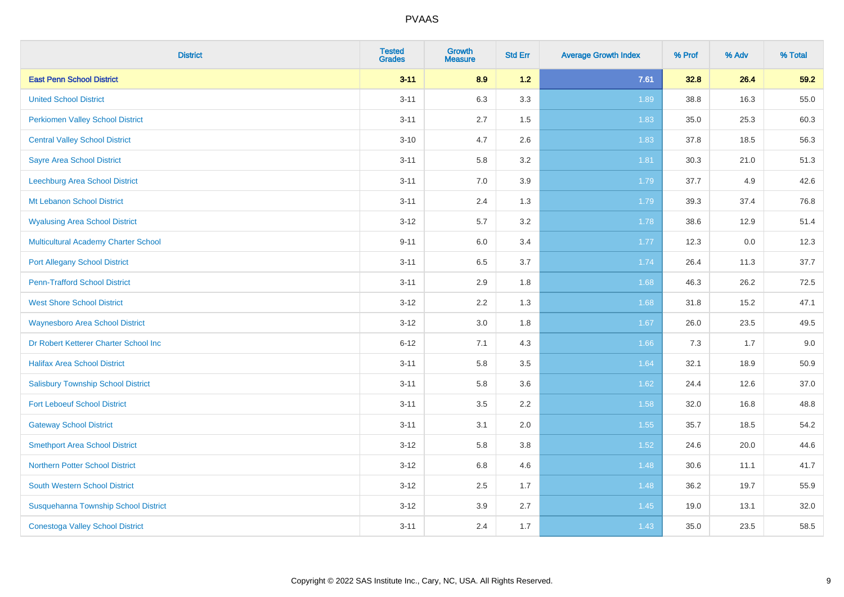| <b>District</b>                             | <b>Tested</b><br><b>Grades</b> | <b>Growth</b><br><b>Measure</b> | <b>Std Err</b> | <b>Average Growth Index</b> | % Prof | % Adv | % Total |
|---------------------------------------------|--------------------------------|---------------------------------|----------------|-----------------------------|--------|-------|---------|
| <b>East Penn School District</b>            | $3 - 11$                       | 8.9                             | 1.2            | 7.61                        | 32.8   | 26.4  | 59.2    |
| <b>United School District</b>               | $3 - 11$                       | 6.3                             | 3.3            | 1.89                        | 38.8   | 16.3  | 55.0    |
| <b>Perkiomen Valley School District</b>     | $3 - 11$                       | 2.7                             | 1.5            | 1.83                        | 35.0   | 25.3  | 60.3    |
| <b>Central Valley School District</b>       | $3 - 10$                       | 4.7                             | 2.6            | 1.83                        | 37.8   | 18.5  | 56.3    |
| <b>Sayre Area School District</b>           | $3 - 11$                       | 5.8                             | 3.2            | 1.81                        | 30.3   | 21.0  | 51.3    |
| Leechburg Area School District              | $3 - 11$                       | 7.0                             | 3.9            | 1.79                        | 37.7   | 4.9   | 42.6    |
| Mt Lebanon School District                  | $3 - 11$                       | 2.4                             | 1.3            | 1.79                        | 39.3   | 37.4  | 76.8    |
| <b>Wyalusing Area School District</b>       | $3 - 12$                       | 5.7                             | 3.2            | 1.78                        | 38.6   | 12.9  | 51.4    |
| <b>Multicultural Academy Charter School</b> | $9 - 11$                       | 6.0                             | 3.4            | 1.77                        | 12.3   | 0.0   | 12.3    |
| <b>Port Allegany School District</b>        | $3 - 11$                       | 6.5                             | 3.7            | 1.74                        | 26.4   | 11.3  | 37.7    |
| <b>Penn-Trafford School District</b>        | $3 - 11$                       | 2.9                             | 1.8            | 1.68                        | 46.3   | 26.2  | 72.5    |
| <b>West Shore School District</b>           | $3 - 12$                       | 2.2                             | 1.3            | 1.68                        | 31.8   | 15.2  | 47.1    |
| <b>Waynesboro Area School District</b>      | $3 - 12$                       | $3.0\,$                         | 1.8            | 1.67                        | 26.0   | 23.5  | 49.5    |
| Dr Robert Ketterer Charter School Inc       | $6 - 12$                       | 7.1                             | 4.3            | 1.66                        | 7.3    | 1.7   | 9.0     |
| <b>Halifax Area School District</b>         | $3 - 11$                       | 5.8                             | 3.5            | 1.64                        | 32.1   | 18.9  | 50.9    |
| <b>Salisbury Township School District</b>   | $3 - 11$                       | 5.8                             | 3.6            | 1.62                        | 24.4   | 12.6  | 37.0    |
| <b>Fort Leboeuf School District</b>         | $3 - 11$                       | 3.5                             | 2.2            | 1.58                        | 32.0   | 16.8  | 48.8    |
| <b>Gateway School District</b>              | $3 - 11$                       | 3.1                             | 2.0            | 1.55                        | 35.7   | 18.5  | 54.2    |
| <b>Smethport Area School District</b>       | $3 - 12$                       | 5.8                             | 3.8            | 1.52                        | 24.6   | 20.0  | 44.6    |
| <b>Northern Potter School District</b>      | $3 - 12$                       | $6.8\,$                         | 4.6            | 1.48                        | 30.6   | 11.1  | 41.7    |
| South Western School District               | $3 - 12$                       | 2.5                             | 1.7            | 1.48                        | 36.2   | 19.7  | 55.9    |
| Susquehanna Township School District        | $3 - 12$                       | 3.9                             | 2.7            | 1.45                        | 19.0   | 13.1  | 32.0    |
| <b>Conestoga Valley School District</b>     | $3 - 11$                       | 2.4                             | 1.7            | 1.43                        | 35.0   | 23.5  | 58.5    |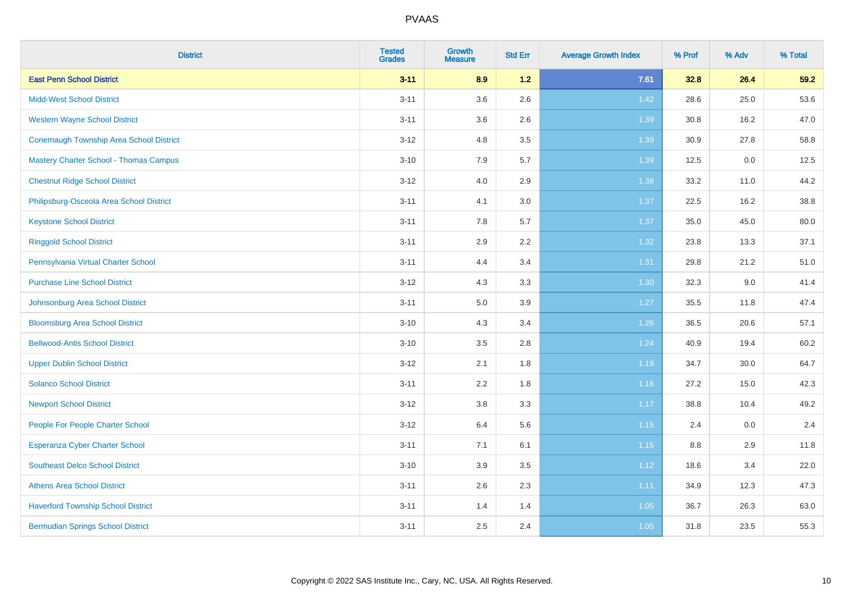| <b>District</b>                                | <b>Tested</b><br><b>Grades</b> | <b>Growth</b><br><b>Measure</b> | <b>Std Err</b> | <b>Average Growth Index</b> | % Prof | % Adv | % Total |
|------------------------------------------------|--------------------------------|---------------------------------|----------------|-----------------------------|--------|-------|---------|
| <b>East Penn School District</b>               | $3 - 11$                       | 8.9                             | 1.2            | 7.61                        | 32.8   | 26.4  | 59.2    |
| <b>Midd-West School District</b>               | $3 - 11$                       | 3.6                             | 2.6            | 1.42                        | 28.6   | 25.0  | 53.6    |
| <b>Western Wayne School District</b>           | $3 - 11$                       | 3.6                             | 2.6            | 1.39                        | 30.8   | 16.2  | 47.0    |
| <b>Conemaugh Township Area School District</b> | $3 - 12$                       | 4.8                             | 3.5            | 1.39                        | 30.9   | 27.8  | 58.8    |
| <b>Mastery Charter School - Thomas Campus</b>  | $3 - 10$                       | 7.9                             | 5.7            | 1.39                        | 12.5   | 0.0   | 12.5    |
| <b>Chestnut Ridge School District</b>          | $3 - 12$                       | 4.0                             | 2.9            | 1.38                        | 33.2   | 11.0  | 44.2    |
| Philipsburg-Osceola Area School District       | $3 - 11$                       | 4.1                             | 3.0            | 1.37                        | 22.5   | 16.2  | 38.8    |
| <b>Keystone School District</b>                | $3 - 11$                       | 7.8                             | 5.7            | 1.37                        | 35.0   | 45.0  | 80.0    |
| <b>Ringgold School District</b>                | $3 - 11$                       | 2.9                             | 2.2            | 1.32                        | 23.8   | 13.3  | 37.1    |
| Pennsylvania Virtual Charter School            | $3 - 11$                       | 4.4                             | 3.4            | 1.31                        | 29.8   | 21.2  | 51.0    |
| <b>Purchase Line School District</b>           | $3 - 12$                       | 4.3                             | 3.3            | 1.30                        | 32.3   | 9.0   | 41.4    |
| Johnsonburg Area School District               | $3 - 11$                       | $5.0\,$                         | 3.9            | 1.27                        | 35.5   | 11.8  | 47.4    |
| <b>Bloomsburg Area School District</b>         | $3 - 10$                       | 4.3                             | 3.4            | $1.26$                      | 36.5   | 20.6  | 57.1    |
| <b>Bellwood-Antis School District</b>          | $3 - 10$                       | 3.5                             | 2.8            | 1.24                        | 40.9   | 19.4  | 60.2    |
| <b>Upper Dublin School District</b>            | $3 - 12$                       | 2.1                             | 1.8            | 1.19                        | 34.7   | 30.0  | 64.7    |
| <b>Solanco School District</b>                 | $3 - 11$                       | 2.2                             | 1.8            | 1.18                        | 27.2   | 15.0  | 42.3    |
| <b>Newport School District</b>                 | $3 - 12$                       | 3.8                             | 3.3            | 1.17                        | 38.8   | 10.4  | 49.2    |
| People For People Charter School               | $3 - 12$                       | 6.4                             | 5.6            | 1.15                        | 2.4    | 0.0   | 2.4     |
| <b>Esperanza Cyber Charter School</b>          | $3 - 11$                       | 7.1                             | 6.1            | 1.15                        | 8.8    | 2.9   | 11.8    |
| <b>Southeast Delco School District</b>         | $3 - 10$                       | 3.9                             | 3.5            | 1.12                        | 18.6   | 3.4   | 22.0    |
| <b>Athens Area School District</b>             | $3 - 11$                       | 2.6                             | 2.3            | 1.11                        | 34.9   | 12.3  | 47.3    |
| <b>Haverford Township School District</b>      | $3 - 11$                       | 1.4                             | 1.4            | 1.05                        | 36.7   | 26.3  | 63.0    |
| <b>Bermudian Springs School District</b>       | $3 - 11$                       | 2.5                             | 2.4            | 1.05                        | 31.8   | 23.5  | 55.3    |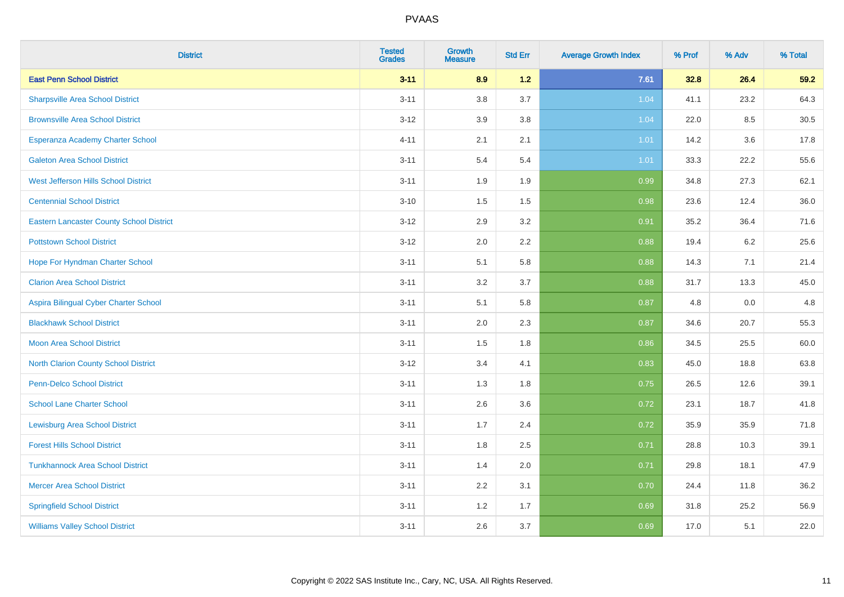| <b>District</b>                                 | <b>Tested</b><br><b>Grades</b> | <b>Growth</b><br><b>Measure</b> | <b>Std Err</b> | <b>Average Growth Index</b> | % Prof | % Adv   | % Total |
|-------------------------------------------------|--------------------------------|---------------------------------|----------------|-----------------------------|--------|---------|---------|
| <b>East Penn School District</b>                | $3 - 11$                       | 8.9                             | $1.2$          | 7.61                        | 32.8   | 26.4    | 59.2    |
| <b>Sharpsville Area School District</b>         | $3 - 11$                       | 3.8                             | 3.7            | 1.04                        | 41.1   | 23.2    | 64.3    |
| <b>Brownsville Area School District</b>         | $3 - 12$                       | 3.9                             | 3.8            | 1.04                        | 22.0   | 8.5     | 30.5    |
| Esperanza Academy Charter School                | $4 - 11$                       | 2.1                             | 2.1            | 1.01                        | 14.2   | $3.6\,$ | 17.8    |
| <b>Galeton Area School District</b>             | $3 - 11$                       | 5.4                             | 5.4            | 1.01                        | 33.3   | 22.2    | 55.6    |
| West Jefferson Hills School District            | $3 - 11$                       | 1.9                             | 1.9            | 0.99                        | 34.8   | 27.3    | 62.1    |
| <b>Centennial School District</b>               | $3 - 10$                       | 1.5                             | 1.5            | 0.98                        | 23.6   | 12.4    | 36.0    |
| <b>Eastern Lancaster County School District</b> | $3 - 12$                       | 2.9                             | 3.2            | 0.91                        | 35.2   | 36.4    | 71.6    |
| <b>Pottstown School District</b>                | $3 - 12$                       | 2.0                             | 2.2            | 0.88                        | 19.4   | 6.2     | 25.6    |
| Hope For Hyndman Charter School                 | $3 - 11$                       | 5.1                             | 5.8            | 0.88                        | 14.3   | 7.1     | 21.4    |
| <b>Clarion Area School District</b>             | $3 - 11$                       | 3.2                             | 3.7            | 0.88                        | 31.7   | 13.3    | 45.0    |
| Aspira Bilingual Cyber Charter School           | $3 - 11$                       | 5.1                             | 5.8            | 0.87                        | 4.8    | 0.0     | 4.8     |
| <b>Blackhawk School District</b>                | $3 - 11$                       | 2.0                             | 2.3            | 0.87                        | 34.6   | 20.7    | 55.3    |
| <b>Moon Area School District</b>                | $3 - 11$                       | 1.5                             | 1.8            | 0.86                        | 34.5   | 25.5    | 60.0    |
| North Clarion County School District            | $3 - 12$                       | 3.4                             | 4.1            | 0.83                        | 45.0   | 18.8    | 63.8    |
| <b>Penn-Delco School District</b>               | $3 - 11$                       | 1.3                             | 1.8            | 0.75                        | 26.5   | 12.6    | 39.1    |
| <b>School Lane Charter School</b>               | $3 - 11$                       | 2.6                             | 3.6            | 0.72                        | 23.1   | 18.7    | 41.8    |
| <b>Lewisburg Area School District</b>           | $3 - 11$                       | 1.7                             | 2.4            | 0.72                        | 35.9   | 35.9    | 71.8    |
| <b>Forest Hills School District</b>             | $3 - 11$                       | 1.8                             | 2.5            | 0.71                        | 28.8   | 10.3    | 39.1    |
| <b>Tunkhannock Area School District</b>         | $3 - 11$                       | 1.4                             | 2.0            | 0.71                        | 29.8   | 18.1    | 47.9    |
| <b>Mercer Area School District</b>              | $3 - 11$                       | 2.2                             | 3.1            | 0.70                        | 24.4   | 11.8    | 36.2    |
| <b>Springfield School District</b>              | $3 - 11$                       | 1.2                             | 1.7            | 0.69                        | 31.8   | 25.2    | 56.9    |
| <b>Williams Valley School District</b>          | $3 - 11$                       | 2.6                             | 3.7            | 0.69                        | 17.0   | 5.1     | 22.0    |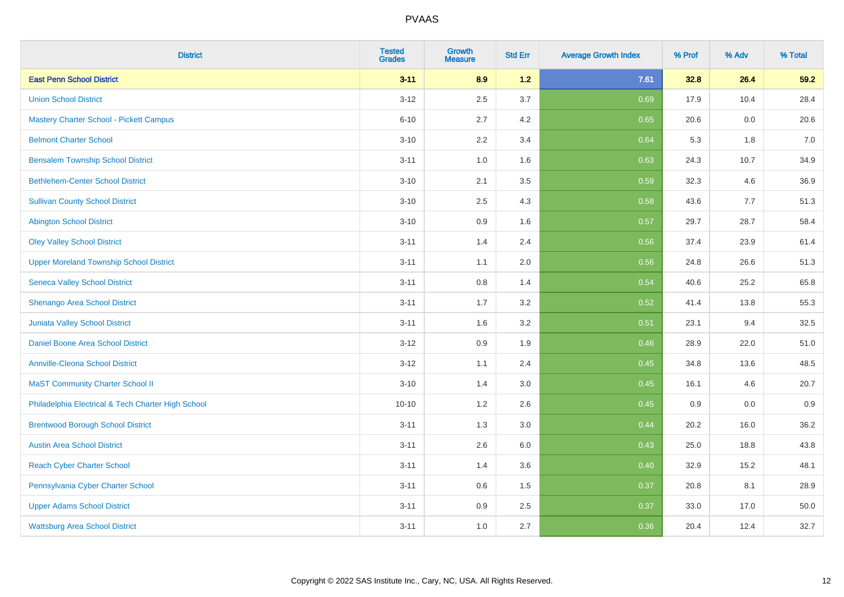| <b>District</b>                                    | <b>Tested</b><br><b>Grades</b> | <b>Growth</b><br><b>Measure</b> | <b>Std Err</b> | <b>Average Growth Index</b> | % Prof | % Adv | % Total |
|----------------------------------------------------|--------------------------------|---------------------------------|----------------|-----------------------------|--------|-------|---------|
| <b>East Penn School District</b>                   | $3 - 11$                       | 8.9                             | $1.2$          | 7.61                        | 32.8   | 26.4  | 59.2    |
| <b>Union School District</b>                       | $3 - 12$                       | 2.5                             | 3.7            | 0.69                        | 17.9   | 10.4  | 28.4    |
| <b>Mastery Charter School - Pickett Campus</b>     | $6 - 10$                       | 2.7                             | 4.2            | 0.65                        | 20.6   | 0.0   | 20.6    |
| <b>Belmont Charter School</b>                      | $3 - 10$                       | 2.2                             | 3.4            | 0.64                        | 5.3    | 1.8   | $7.0\,$ |
| <b>Bensalem Township School District</b>           | $3 - 11$                       | 1.0                             | 1.6            | 0.63                        | 24.3   | 10.7  | 34.9    |
| <b>Bethlehem-Center School District</b>            | $3 - 10$                       | 2.1                             | 3.5            | 0.59                        | 32.3   | 4.6   | 36.9    |
| <b>Sullivan County School District</b>             | $3 - 10$                       | 2.5                             | 4.3            | 0.58                        | 43.6   | 7.7   | 51.3    |
| <b>Abington School District</b>                    | $3 - 10$                       | 0.9                             | 1.6            | 0.57                        | 29.7   | 28.7  | 58.4    |
| <b>Oley Valley School District</b>                 | $3 - 11$                       | 1.4                             | 2.4            | 0.56                        | 37.4   | 23.9  | 61.4    |
| <b>Upper Moreland Township School District</b>     | $3 - 11$                       | 1.1                             | 2.0            | 0.56                        | 24.8   | 26.6  | 51.3    |
| <b>Seneca Valley School District</b>               | $3 - 11$                       | 0.8                             | 1.4            | 0.54                        | 40.6   | 25.2  | 65.8    |
| Shenango Area School District                      | $3 - 11$                       | 1.7                             | 3.2            | 0.52                        | 41.4   | 13.8  | 55.3    |
| Juniata Valley School District                     | $3 - 11$                       | 1.6                             | 3.2            | 0.51                        | 23.1   | 9.4   | 32.5    |
| Daniel Boone Area School District                  | $3 - 12$                       | 0.9                             | 1.9            | 0.46                        | 28.9   | 22.0  | 51.0    |
| <b>Annville-Cleona School District</b>             | $3 - 12$                       | 1.1                             | 2.4            | 0.45                        | 34.8   | 13.6  | 48.5    |
| <b>MaST Community Charter School II</b>            | $3 - 10$                       | 1.4                             | 3.0            | 0.45                        | 16.1   | 4.6   | 20.7    |
| Philadelphia Electrical & Tech Charter High School | $10 - 10$                      | 1.2                             | 2.6            | 0.45                        | 0.9    | 0.0   | 0.9     |
| <b>Brentwood Borough School District</b>           | $3 - 11$                       | 1.3                             | 3.0            | 0.44                        | 20.2   | 16.0  | 36.2    |
| <b>Austin Area School District</b>                 | $3 - 11$                       | 2.6                             | 6.0            | 0.43                        | 25.0   | 18.8  | 43.8    |
| <b>Reach Cyber Charter School</b>                  | $3 - 11$                       | 1.4                             | 3.6            | 0.40                        | 32.9   | 15.2  | 48.1    |
| Pennsylvania Cyber Charter School                  | $3 - 11$                       | 0.6                             | 1.5            | 0.37                        | 20.8   | 8.1   | 28.9    |
| <b>Upper Adams School District</b>                 | $3 - 11$                       | 0.9                             | 2.5            | 0.37                        | 33.0   | 17.0  | 50.0    |
| <b>Wattsburg Area School District</b>              | $3 - 11$                       | 1.0                             | 2.7            | 0.36                        | 20.4   | 12.4  | 32.7    |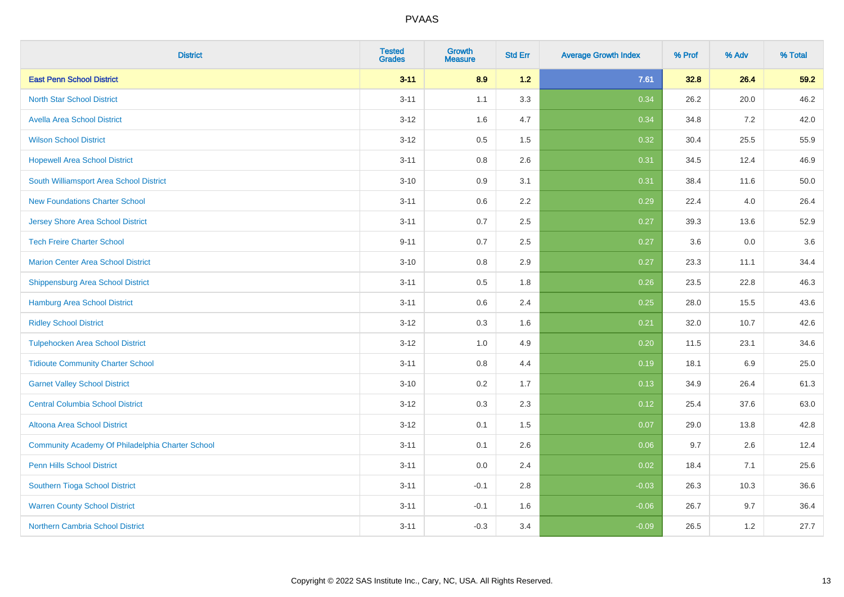| <b>District</b>                                  | <b>Tested</b><br><b>Grades</b> | <b>Growth</b><br><b>Measure</b> | <b>Std Err</b> | <b>Average Growth Index</b> | % Prof | % Adv | % Total |
|--------------------------------------------------|--------------------------------|---------------------------------|----------------|-----------------------------|--------|-------|---------|
| <b>East Penn School District</b>                 | $3 - 11$                       | 8.9                             | $1.2$          | 7.61                        | 32.8   | 26.4  | 59.2    |
| <b>North Star School District</b>                | $3 - 11$                       | 1.1                             | 3.3            | 0.34                        | 26.2   | 20.0  | 46.2    |
| <b>Avella Area School District</b>               | $3 - 12$                       | 1.6                             | 4.7            | 0.34                        | 34.8   | 7.2   | 42.0    |
| <b>Wilson School District</b>                    | $3 - 12$                       | 0.5                             | 1.5            | 0.32                        | 30.4   | 25.5  | 55.9    |
| <b>Hopewell Area School District</b>             | $3 - 11$                       | 0.8                             | 2.6            | 0.31                        | 34.5   | 12.4  | 46.9    |
| South Williamsport Area School District          | $3 - 10$                       | 0.9                             | 3.1            | 0.31                        | 38.4   | 11.6  | 50.0    |
| <b>New Foundations Charter School</b>            | $3 - 11$                       | $0.6\,$                         | 2.2            | 0.29                        | 22.4   | 4.0   | 26.4    |
| <b>Jersey Shore Area School District</b>         | $3 - 11$                       | 0.7                             | 2.5            | 0.27                        | 39.3   | 13.6  | 52.9    |
| <b>Tech Freire Charter School</b>                | $9 - 11$                       | 0.7                             | 2.5            | 0.27                        | 3.6    | 0.0   | 3.6     |
| <b>Marion Center Area School District</b>        | $3 - 10$                       | $0.8\,$                         | 2.9            | 0.27                        | 23.3   | 11.1  | 34.4    |
| Shippensburg Area School District                | $3 - 11$                       | 0.5                             | 1.8            | 0.26                        | 23.5   | 22.8  | 46.3    |
| <b>Hamburg Area School District</b>              | $3 - 11$                       | 0.6                             | 2.4            | 0.25                        | 28.0   | 15.5  | 43.6    |
| <b>Ridley School District</b>                    | $3 - 12$                       | 0.3                             | 1.6            | 0.21                        | 32.0   | 10.7  | 42.6    |
| <b>Tulpehocken Area School District</b>          | $3 - 12$                       | 1.0                             | 4.9            | 0.20                        | 11.5   | 23.1  | 34.6    |
| <b>Tidioute Community Charter School</b>         | $3 - 11$                       | 0.8                             | 4.4            | 0.19                        | 18.1   | 6.9   | 25.0    |
| <b>Garnet Valley School District</b>             | $3 - 10$                       | 0.2                             | 1.7            | 0.13                        | 34.9   | 26.4  | 61.3    |
| <b>Central Columbia School District</b>          | $3 - 12$                       | 0.3                             | 2.3            | 0.12                        | 25.4   | 37.6  | 63.0    |
| Altoona Area School District                     | $3 - 12$                       | 0.1                             | 1.5            | 0.07                        | 29.0   | 13.8  | 42.8    |
| Community Academy Of Philadelphia Charter School | $3 - 11$                       | 0.1                             | 2.6            | 0.06                        | 9.7    | 2.6   | 12.4    |
| <b>Penn Hills School District</b>                | $3 - 11$                       | 0.0                             | 2.4            | 0.02                        | 18.4   | 7.1   | 25.6    |
| Southern Tioga School District                   | $3 - 11$                       | $-0.1$                          | 2.8            | $-0.03$                     | 26.3   | 10.3  | 36.6    |
| <b>Warren County School District</b>             | $3 - 11$                       | $-0.1$                          | 1.6            | $-0.06$                     | 26.7   | 9.7   | 36.4    |
| Northern Cambria School District                 | $3 - 11$                       | $-0.3$                          | 3.4            | $-0.09$                     | 26.5   | 1.2   | 27.7    |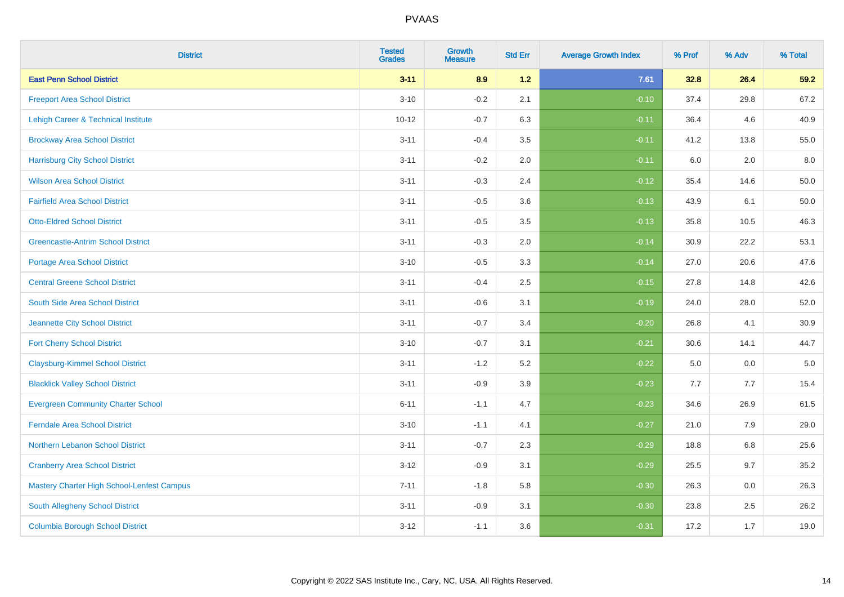| <b>District</b>                            | <b>Tested</b><br><b>Grades</b> | <b>Growth</b><br><b>Measure</b> | <b>Std Err</b> | <b>Average Growth Index</b> | % Prof | % Adv | % Total  |
|--------------------------------------------|--------------------------------|---------------------------------|----------------|-----------------------------|--------|-------|----------|
| <b>East Penn School District</b>           | $3 - 11$                       | 8.9                             | 1.2            | 7.61                        | 32.8   | 26.4  | 59.2     |
| <b>Freeport Area School District</b>       | $3 - 10$                       | $-0.2$                          | 2.1            | $-0.10$                     | 37.4   | 29.8  | 67.2     |
| Lehigh Career & Technical Institute        | $10 - 12$                      | $-0.7$                          | 6.3            | $-0.11$                     | 36.4   | 4.6   | 40.9     |
| <b>Brockway Area School District</b>       | $3 - 11$                       | $-0.4$                          | 3.5            | $-0.11$                     | 41.2   | 13.8  | 55.0     |
| <b>Harrisburg City School District</b>     | $3 - 11$                       | $-0.2$                          | 2.0            | $-0.11$                     | 6.0    | 2.0   | 8.0      |
| <b>Wilson Area School District</b>         | $3 - 11$                       | $-0.3$                          | 2.4            | $-0.12$                     | 35.4   | 14.6  | 50.0     |
| <b>Fairfield Area School District</b>      | $3 - 11$                       | $-0.5$                          | 3.6            | $-0.13$                     | 43.9   | 6.1   | $50.0\,$ |
| <b>Otto-Eldred School District</b>         | $3 - 11$                       | $-0.5$                          | 3.5            | $-0.13$                     | 35.8   | 10.5  | 46.3     |
| <b>Greencastle-Antrim School District</b>  | $3 - 11$                       | $-0.3$                          | 2.0            | $-0.14$                     | 30.9   | 22.2  | 53.1     |
| <b>Portage Area School District</b>        | $3 - 10$                       | $-0.5$                          | 3.3            | $-0.14$                     | 27.0   | 20.6  | 47.6     |
| <b>Central Greene School District</b>      | $3 - 11$                       | $-0.4$                          | 2.5            | $-0.15$                     | 27.8   | 14.8  | 42.6     |
| South Side Area School District            | $3 - 11$                       | $-0.6$                          | 3.1            | $-0.19$                     | 24.0   | 28.0  | 52.0     |
| Jeannette City School District             | $3 - 11$                       | $-0.7$                          | 3.4            | $-0.20$                     | 26.8   | 4.1   | 30.9     |
| <b>Fort Cherry School District</b>         | $3 - 10$                       | $-0.7$                          | 3.1            | $-0.21$                     | 30.6   | 14.1  | 44.7     |
| <b>Claysburg-Kimmel School District</b>    | $3 - 11$                       | $-1.2$                          | 5.2            | $-0.22$                     | 5.0    | 0.0   | $5.0\,$  |
| <b>Blacklick Valley School District</b>    | $3 - 11$                       | $-0.9$                          | 3.9            | $-0.23$                     | 7.7    | 7.7   | 15.4     |
| <b>Evergreen Community Charter School</b>  | $6 - 11$                       | $-1.1$                          | 4.7            | $-0.23$                     | 34.6   | 26.9  | 61.5     |
| <b>Ferndale Area School District</b>       | $3 - 10$                       | $-1.1$                          | 4.1            | $-0.27$                     | 21.0   | 7.9   | 29.0     |
| Northern Lebanon School District           | $3 - 11$                       | $-0.7$                          | 2.3            | $-0.29$                     | 18.8   | 6.8   | 25.6     |
| <b>Cranberry Area School District</b>      | $3 - 12$                       | $-0.9$                          | 3.1            | $-0.29$                     | 25.5   | 9.7   | 35.2     |
| Mastery Charter High School-Lenfest Campus | $7 - 11$                       | $-1.8$                          | 5.8            | $-0.30$                     | 26.3   | 0.0   | 26.3     |
| South Allegheny School District            | $3 - 11$                       | $-0.9$                          | 3.1            | $-0.30$                     | 23.8   | 2.5   | 26.2     |
| <b>Columbia Borough School District</b>    | $3 - 12$                       | $-1.1$                          | 3.6            | $-0.31$                     | 17.2   | 1.7   | 19.0     |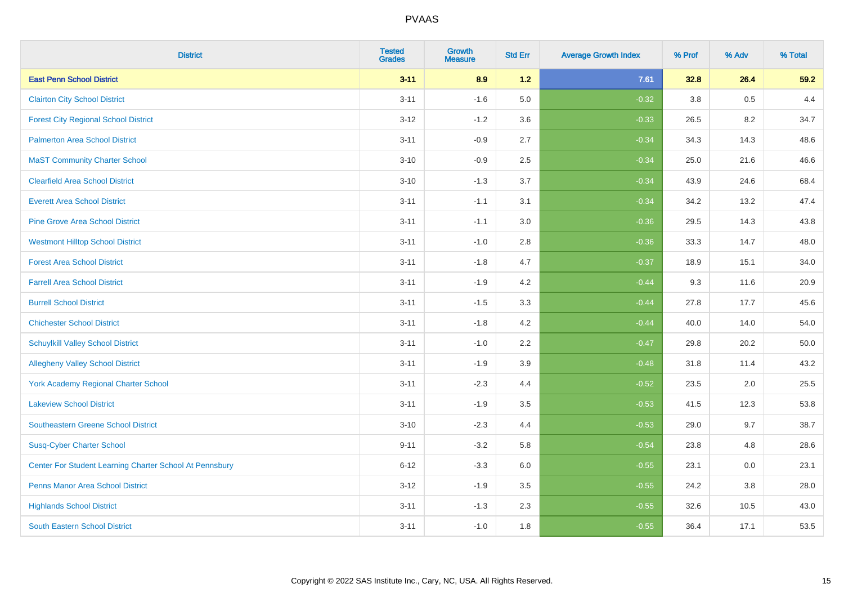| <b>District</b>                                         | <b>Tested</b><br><b>Grades</b> | <b>Growth</b><br><b>Measure</b> | <b>Std Err</b> | <b>Average Growth Index</b> | % Prof | % Adv | % Total |
|---------------------------------------------------------|--------------------------------|---------------------------------|----------------|-----------------------------|--------|-------|---------|
| <b>East Penn School District</b>                        | $3 - 11$                       | 8.9                             | $1.2$          | 7.61                        | 32.8   | 26.4  | 59.2    |
| <b>Clairton City School District</b>                    | $3 - 11$                       | $-1.6$                          | 5.0            | $-0.32$                     | 3.8    | 0.5   | 4.4     |
| <b>Forest City Regional School District</b>             | $3 - 12$                       | $-1.2$                          | 3.6            | $-0.33$                     | 26.5   | 8.2   | 34.7    |
| <b>Palmerton Area School District</b>                   | $3 - 11$                       | $-0.9$                          | 2.7            | $-0.34$                     | 34.3   | 14.3  | 48.6    |
| <b>MaST Community Charter School</b>                    | $3 - 10$                       | $-0.9$                          | 2.5            | $-0.34$                     | 25.0   | 21.6  | 46.6    |
| <b>Clearfield Area School District</b>                  | $3 - 10$                       | $-1.3$                          | 3.7            | $-0.34$                     | 43.9   | 24.6  | 68.4    |
| <b>Everett Area School District</b>                     | $3 - 11$                       | $-1.1$                          | 3.1            | $-0.34$                     | 34.2   | 13.2  | 47.4    |
| <b>Pine Grove Area School District</b>                  | $3 - 11$                       | $-1.1$                          | 3.0            | $-0.36$                     | 29.5   | 14.3  | 43.8    |
| <b>Westmont Hilltop School District</b>                 | $3 - 11$                       | $-1.0$                          | 2.8            | $-0.36$                     | 33.3   | 14.7  | 48.0    |
| <b>Forest Area School District</b>                      | $3 - 11$                       | $-1.8$                          | 4.7            | $-0.37$                     | 18.9   | 15.1  | 34.0    |
| <b>Farrell Area School District</b>                     | $3 - 11$                       | $-1.9$                          | 4.2            | $-0.44$                     | 9.3    | 11.6  | 20.9    |
| <b>Burrell School District</b>                          | $3 - 11$                       | $-1.5$                          | 3.3            | $-0.44$                     | 27.8   | 17.7  | 45.6    |
| <b>Chichester School District</b>                       | $3 - 11$                       | $-1.8$                          | 4.2            | $-0.44$                     | 40.0   | 14.0  | 54.0    |
| <b>Schuylkill Valley School District</b>                | $3 - 11$                       | $-1.0$                          | 2.2            | $-0.47$                     | 29.8   | 20.2  | 50.0    |
| <b>Allegheny Valley School District</b>                 | $3 - 11$                       | $-1.9$                          | 3.9            | $-0.48$                     | 31.8   | 11.4  | 43.2    |
| York Academy Regional Charter School                    | $3 - 11$                       | $-2.3$                          | 4.4            | $-0.52$                     | 23.5   | 2.0   | 25.5    |
| <b>Lakeview School District</b>                         | $3 - 11$                       | $-1.9$                          | 3.5            | $-0.53$                     | 41.5   | 12.3  | 53.8    |
| <b>Southeastern Greene School District</b>              | $3 - 10$                       | $-2.3$                          | 4.4            | $-0.53$                     | 29.0   | 9.7   | 38.7    |
| <b>Susq-Cyber Charter School</b>                        | $9 - 11$                       | $-3.2$                          | 5.8            | $-0.54$                     | 23.8   | 4.8   | 28.6    |
| Center For Student Learning Charter School At Pennsbury | $6 - 12$                       | $-3.3$                          | 6.0            | $-0.55$                     | 23.1   | 0.0   | 23.1    |
| <b>Penns Manor Area School District</b>                 | $3 - 12$                       | $-1.9$                          | 3.5            | $-0.55$                     | 24.2   | 3.8   | 28.0    |
| <b>Highlands School District</b>                        | $3 - 11$                       | $-1.3$                          | 2.3            | $-0.55$                     | 32.6   | 10.5  | 43.0    |
| <b>South Eastern School District</b>                    | $3 - 11$                       | $-1.0$                          | 1.8            | $-0.55$                     | 36.4   | 17.1  | 53.5    |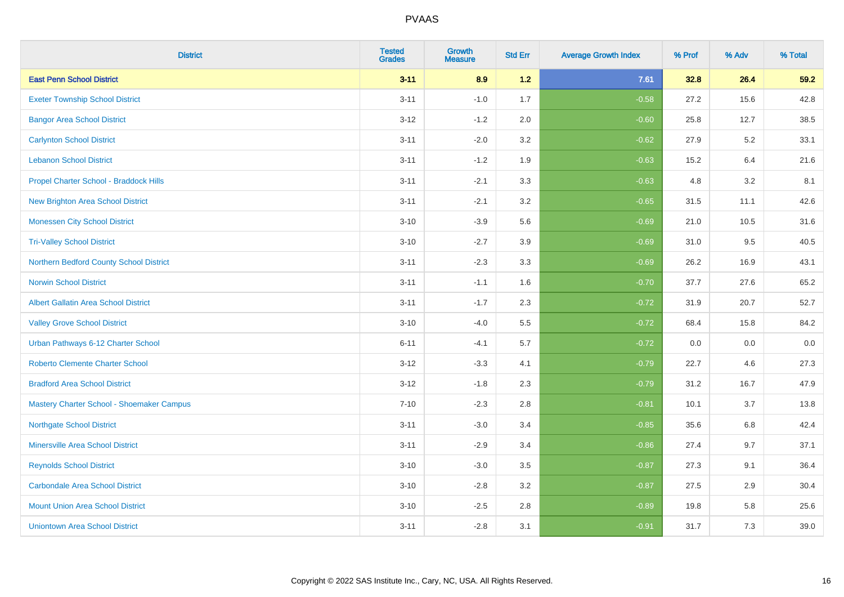| <b>District</b>                             | <b>Tested</b><br><b>Grades</b> | <b>Growth</b><br><b>Measure</b> | <b>Std Err</b> | <b>Average Growth Index</b> | % Prof | % Adv   | % Total |
|---------------------------------------------|--------------------------------|---------------------------------|----------------|-----------------------------|--------|---------|---------|
| <b>East Penn School District</b>            | $3 - 11$                       | 8.9                             | 1.2            | 7.61                        | 32.8   | 26.4    | 59.2    |
| <b>Exeter Township School District</b>      | $3 - 11$                       | $-1.0$                          | 1.7            | $-0.58$                     | 27.2   | 15.6    | 42.8    |
| <b>Bangor Area School District</b>          | $3-12$                         | $-1.2$                          | 2.0            | $-0.60$                     | 25.8   | 12.7    | 38.5    |
| <b>Carlynton School District</b>            | $3 - 11$                       | $-2.0$                          | 3.2            | $-0.62$                     | 27.9   | $5.2\,$ | 33.1    |
| <b>Lebanon School District</b>              | $3 - 11$                       | $-1.2$                          | 1.9            | $-0.63$                     | 15.2   | 6.4     | 21.6    |
| Propel Charter School - Braddock Hills      | $3 - 11$                       | $-2.1$                          | 3.3            | $-0.63$                     | 4.8    | 3.2     | 8.1     |
| <b>New Brighton Area School District</b>    | $3 - 11$                       | $-2.1$                          | 3.2            | $-0.65$                     | 31.5   | 11.1    | 42.6    |
| <b>Monessen City School District</b>        | $3 - 10$                       | $-3.9$                          | 5.6            | $-0.69$                     | 21.0   | 10.5    | 31.6    |
| <b>Tri-Valley School District</b>           | $3 - 10$                       | $-2.7$                          | 3.9            | $-0.69$                     | 31.0   | 9.5     | 40.5    |
| Northern Bedford County School District     | $3 - 11$                       | $-2.3$                          | 3.3            | $-0.69$                     | 26.2   | 16.9    | 43.1    |
| <b>Norwin School District</b>               | $3 - 11$                       | $-1.1$                          | 1.6            | $-0.70$                     | 37.7   | 27.6    | 65.2    |
| <b>Albert Gallatin Area School District</b> | $3 - 11$                       | $-1.7$                          | 2.3            | $-0.72$                     | 31.9   | 20.7    | 52.7    |
| <b>Valley Grove School District</b>         | $3 - 10$                       | $-4.0$                          | 5.5            | $-0.72$                     | 68.4   | 15.8    | 84.2    |
| Urban Pathways 6-12 Charter School          | $6 - 11$                       | $-4.1$                          | 5.7            | $-0.72$                     | 0.0    | 0.0     | $0.0\,$ |
| <b>Roberto Clemente Charter School</b>      | $3-12$                         | $-3.3$                          | 4.1            | $-0.79$                     | 22.7   | 4.6     | 27.3    |
| <b>Bradford Area School District</b>        | $3 - 12$                       | $-1.8$                          | 2.3            | $-0.79$                     | 31.2   | 16.7    | 47.9    |
| Mastery Charter School - Shoemaker Campus   | $7 - 10$                       | $-2.3$                          | 2.8            | $-0.81$                     | 10.1   | 3.7     | 13.8    |
| <b>Northgate School District</b>            | $3 - 11$                       | $-3.0$                          | 3.4            | $-0.85$                     | 35.6   | $6.8\,$ | 42.4    |
| <b>Minersville Area School District</b>     | $3 - 11$                       | $-2.9$                          | 3.4            | $-0.86$                     | 27.4   | 9.7     | 37.1    |
| <b>Reynolds School District</b>             | $3 - 10$                       | $-3.0$                          | 3.5            | $-0.87$                     | 27.3   | 9.1     | 36.4    |
| <b>Carbondale Area School District</b>      | $3 - 10$                       | $-2.8$                          | 3.2            | $-0.87$                     | 27.5   | 2.9     | 30.4    |
| <b>Mount Union Area School District</b>     | $3 - 10$                       | $-2.5$                          | 2.8            | $-0.89$                     | 19.8   | 5.8     | 25.6    |
| <b>Uniontown Area School District</b>       | $3 - 11$                       | $-2.8$                          | 3.1            | $-0.91$                     | 31.7   | 7.3     | 39.0    |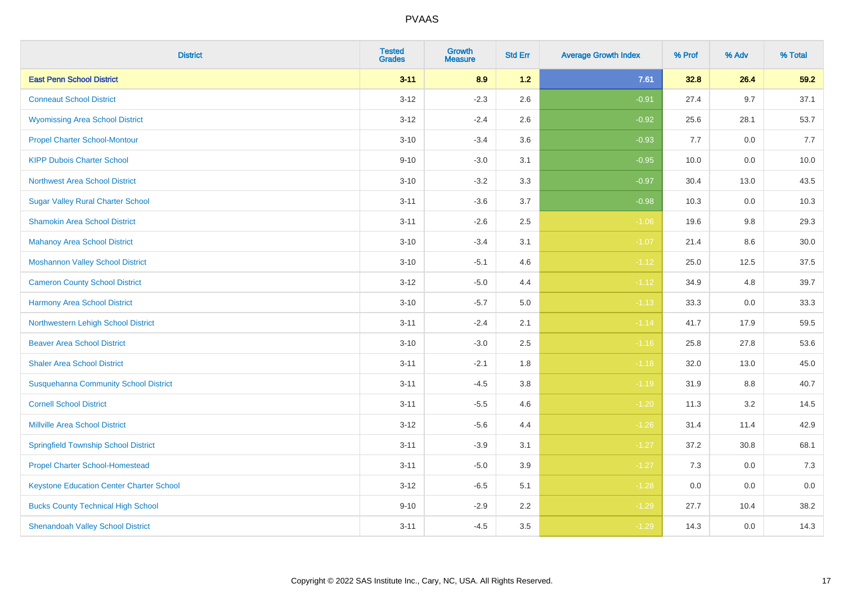| <b>District</b>                                 | <b>Tested</b><br><b>Grades</b> | <b>Growth</b><br><b>Measure</b> | <b>Std Err</b> | <b>Average Growth Index</b> | % Prof | % Adv   | % Total |
|-------------------------------------------------|--------------------------------|---------------------------------|----------------|-----------------------------|--------|---------|---------|
| <b>East Penn School District</b>                | $3 - 11$                       | 8.9                             | 1.2            | 7.61                        | 32.8   | 26.4    | 59.2    |
| <b>Conneaut School District</b>                 | $3 - 12$                       | $-2.3$                          | 2.6            | $-0.91$                     | 27.4   | 9.7     | 37.1    |
| <b>Wyomissing Area School District</b>          | $3 - 12$                       | $-2.4$                          | 2.6            | $-0.92$                     | 25.6   | 28.1    | 53.7    |
| <b>Propel Charter School-Montour</b>            | $3 - 10$                       | $-3.4$                          | 3.6            | $-0.93$                     | 7.7    | $0.0\,$ | 7.7     |
| <b>KIPP Dubois Charter School</b>               | $9 - 10$                       | $-3.0$                          | 3.1            | $-0.95$                     | 10.0   | 0.0     | 10.0    |
| <b>Northwest Area School District</b>           | $3 - 10$                       | $-3.2$                          | 3.3            | $-0.97$                     | 30.4   | 13.0    | 43.5    |
| <b>Sugar Valley Rural Charter School</b>        | $3 - 11$                       | $-3.6$                          | 3.7            | $-0.98$                     | 10.3   | 0.0     | 10.3    |
| <b>Shamokin Area School District</b>            | $3 - 11$                       | $-2.6$                          | 2.5            | $-1.06$                     | 19.6   | 9.8     | 29.3    |
| <b>Mahanoy Area School District</b>             | $3 - 10$                       | $-3.4$                          | 3.1            | $-1.07$                     | 21.4   | 8.6     | 30.0    |
| <b>Moshannon Valley School District</b>         | $3 - 10$                       | $-5.1$                          | 4.6            | $-1.12$                     | 25.0   | 12.5    | 37.5    |
| <b>Cameron County School District</b>           | $3-12$                         | $-5.0$                          | 4.4            | $-1.12$                     | 34.9   | 4.8     | 39.7    |
| <b>Harmony Area School District</b>             | $3 - 10$                       | $-5.7$                          | $5.0\,$        | $-1.13$                     | 33.3   | 0.0     | 33.3    |
| Northwestern Lehigh School District             | $3 - 11$                       | $-2.4$                          | 2.1            | $-1.14$                     | 41.7   | 17.9    | 59.5    |
| <b>Beaver Area School District</b>              | $3 - 10$                       | $-3.0$                          | 2.5            | $-1.16$                     | 25.8   | 27.8    | 53.6    |
| <b>Shaler Area School District</b>              | $3 - 11$                       | $-2.1$                          | 1.8            | $-1.18$                     | 32.0   | 13.0    | 45.0    |
| <b>Susquehanna Community School District</b>    | $3 - 11$                       | $-4.5$                          | 3.8            | $-1.19$                     | 31.9   | $8.8\,$ | 40.7    |
| <b>Cornell School District</b>                  | $3 - 11$                       | $-5.5$                          | 4.6            | $-1.20$                     | 11.3   | $3.2\,$ | 14.5    |
| <b>Millville Area School District</b>           | $3-12$                         | $-5.6$                          | 4.4            | $-1.26$                     | 31.4   | 11.4    | 42.9    |
| <b>Springfield Township School District</b>     | $3 - 11$                       | $-3.9$                          | 3.1            | $-1.27$                     | 37.2   | 30.8    | 68.1    |
| <b>Propel Charter School-Homestead</b>          | $3 - 11$                       | $-5.0$                          | 3.9            | $-1.27$                     | 7.3    | 0.0     | 7.3     |
| <b>Keystone Education Center Charter School</b> | $3 - 12$                       | $-6.5$                          | 5.1            | $-1.28$                     | 0.0    | 0.0     | 0.0     |
| <b>Bucks County Technical High School</b>       | $9 - 10$                       | $-2.9$                          | 2.2            | $-1.29$                     | 27.7   | 10.4    | 38.2    |
| <b>Shenandoah Valley School District</b>        | $3 - 11$                       | $-4.5$                          | 3.5            | $-1.29$                     | 14.3   | 0.0     | 14.3    |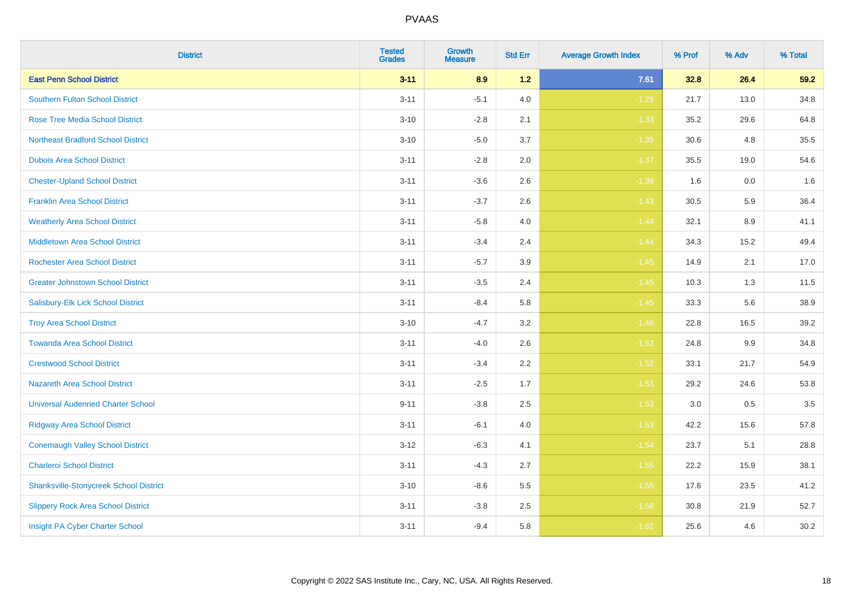| <b>District</b>                               | <b>Tested</b><br><b>Grades</b> | <b>Growth</b><br><b>Measure</b> | <b>Std Err</b> | <b>Average Growth Index</b> | % Prof | % Adv | % Total |
|-----------------------------------------------|--------------------------------|---------------------------------|----------------|-----------------------------|--------|-------|---------|
| <b>East Penn School District</b>              | $3 - 11$                       | 8.9                             | $1.2$          | 7.61                        | 32.8   | 26.4  | 59.2    |
| <b>Southern Fulton School District</b>        | $3 - 11$                       | $-5.1$                          | 4.0            | $-1.29$                     | 21.7   | 13.0  | 34.8    |
| <b>Rose Tree Media School District</b>        | $3 - 10$                       | $-2.8$                          | 2.1            | $-1.33$                     | 35.2   | 29.6  | 64.8    |
| <b>Northeast Bradford School District</b>     | $3 - 10$                       | $-5.0$                          | 3.7            | $-1.35$                     | 30.6   | 4.8   | 35.5    |
| <b>Dubois Area School District</b>            | $3 - 11$                       | $-2.8$                          | 2.0            | $-1.37$                     | 35.5   | 19.0  | 54.6    |
| <b>Chester-Upland School District</b>         | $3 - 11$                       | $-3.6$                          | 2.6            | $-1.38$                     | 1.6    | 0.0   | 1.6     |
| <b>Franklin Area School District</b>          | $3 - 11$                       | $-3.7$                          | 2.6            | $-1.43$                     | 30.5   | 5.9   | 36.4    |
| <b>Weatherly Area School District</b>         | $3 - 11$                       | $-5.8$                          | 4.0            | $-1.44$                     | 32.1   | 8.9   | 41.1    |
| <b>Middletown Area School District</b>        | $3 - 11$                       | $-3.4$                          | 2.4            | $-1.44$                     | 34.3   | 15.2  | 49.4    |
| <b>Rochester Area School District</b>         | $3 - 11$                       | $-5.7$                          | 3.9            | $-1.45$                     | 14.9   | 2.1   | 17.0    |
| <b>Greater Johnstown School District</b>      | $3 - 11$                       | $-3.5$                          | 2.4            | $-1.45$                     | 10.3   | 1.3   | 11.5    |
| Salisbury-Elk Lick School District            | $3 - 11$                       | $-8.4$                          | 5.8            | $-1.45$                     | 33.3   | 5.6   | 38.9    |
| <b>Troy Area School District</b>              | $3 - 10$                       | $-4.7$                          | $3.2\,$        | $-1.46$                     | 22.8   | 16.5  | 39.2    |
| <b>Towanda Area School District</b>           | $3 - 11$                       | $-4.0$                          | 2.6            | $-1.52$                     | 24.8   | 9.9   | 34.8    |
| <b>Crestwood School District</b>              | $3 - 11$                       | $-3.4$                          | $2.2\,$        | $-1.52$                     | 33.1   | 21.7  | 54.9    |
| <b>Nazareth Area School District</b>          | $3 - 11$                       | $-2.5$                          | 1.7            | $-1.53$                     | 29.2   | 24.6  | 53.8    |
| <b>Universal Audenried Charter School</b>     | $9 - 11$                       | $-3.8$                          | 2.5            | $-1.53$                     | 3.0    | 0.5   | 3.5     |
| <b>Ridgway Area School District</b>           | $3 - 11$                       | $-6.1$                          | 4.0            | $-1.53$                     | 42.2   | 15.6  | 57.8    |
| <b>Conemaugh Valley School District</b>       | $3 - 12$                       | $-6.3$                          | 4.1            | $-1.54$                     | 23.7   | 5.1   | 28.8    |
| <b>Charleroi School District</b>              | $3 - 11$                       | $-4.3$                          | 2.7            | $-1.55$                     | 22.2   | 15.9  | 38.1    |
| <b>Shanksville-Stonycreek School District</b> | $3 - 10$                       | $-8.6$                          | 5.5            | $-1.55$                     | 17.6   | 23.5  | 41.2    |
| <b>Slippery Rock Area School District</b>     | $3 - 11$                       | $-3.8$                          | 2.5            | $-1.56$                     | 30.8   | 21.9  | 52.7    |
| Insight PA Cyber Charter School               | $3 - 11$                       | $-9.4$                          | 5.8            | $-1.62$                     | 25.6   | 4.6   | 30.2    |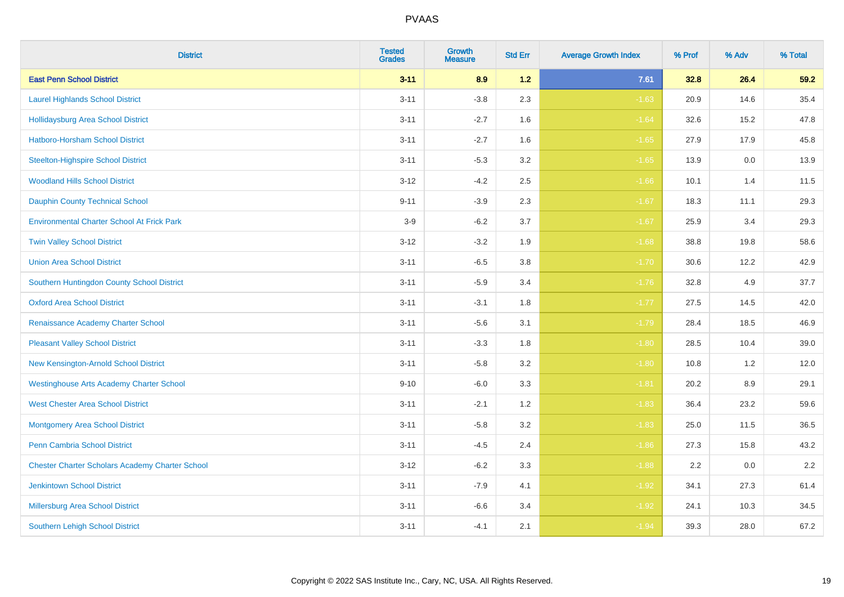| <b>District</b>                                        | <b>Tested</b><br><b>Grades</b> | <b>Growth</b><br><b>Measure</b> | <b>Std Err</b> | <b>Average Growth Index</b> | % Prof | % Adv   | % Total |
|--------------------------------------------------------|--------------------------------|---------------------------------|----------------|-----------------------------|--------|---------|---------|
| <b>East Penn School District</b>                       | $3 - 11$                       | 8.9                             | $1.2$          | 7.61                        | 32.8   | 26.4    | 59.2    |
| <b>Laurel Highlands School District</b>                | $3 - 11$                       | $-3.8$                          | 2.3            | $-1.63$                     | 20.9   | 14.6    | 35.4    |
| <b>Hollidaysburg Area School District</b>              | $3 - 11$                       | $-2.7$                          | 1.6            | $-1.64$                     | 32.6   | 15.2    | 47.8    |
| <b>Hatboro-Horsham School District</b>                 | $3 - 11$                       | $-2.7$                          | 1.6            | $-1.65$                     | 27.9   | 17.9    | 45.8    |
| <b>Steelton-Highspire School District</b>              | $3 - 11$                       | $-5.3$                          | 3.2            | $-1.65$                     | 13.9   | 0.0     | 13.9    |
| <b>Woodland Hills School District</b>                  | $3 - 12$                       | $-4.2$                          | 2.5            | $-1.66$                     | 10.1   | 1.4     | 11.5    |
| <b>Dauphin County Technical School</b>                 | $9 - 11$                       | $-3.9$                          | 2.3            | $-1.67$                     | 18.3   | 11.1    | 29.3    |
| <b>Environmental Charter School At Frick Park</b>      | $3-9$                          | $-6.2$                          | 3.7            | $-1.67$                     | 25.9   | 3.4     | 29.3    |
| <b>Twin Valley School District</b>                     | $3 - 12$                       | $-3.2$                          | 1.9            | $-1.68$                     | 38.8   | 19.8    | 58.6    |
| <b>Union Area School District</b>                      | $3 - 11$                       | $-6.5$                          | 3.8            | $-1.70$                     | 30.6   | 12.2    | 42.9    |
| Southern Huntingdon County School District             | $3 - 11$                       | $-5.9$                          | 3.4            | $-1.76$                     | 32.8   | 4.9     | 37.7    |
| <b>Oxford Area School District</b>                     | $3 - 11$                       | $-3.1$                          | 1.8            | $-1.77$                     | 27.5   | 14.5    | 42.0    |
| Renaissance Academy Charter School                     | $3 - 11$                       | $-5.6$                          | 3.1            | $-1.79$                     | 28.4   | 18.5    | 46.9    |
| <b>Pleasant Valley School District</b>                 | $3 - 11$                       | $-3.3$                          | 1.8            | $-1.80$                     | 28.5   | 10.4    | 39.0    |
| New Kensington-Arnold School District                  | $3 - 11$                       | $-5.8$                          | 3.2            | $-1.80$                     | 10.8   | 1.2     | 12.0    |
| <b>Westinghouse Arts Academy Charter School</b>        | $9 - 10$                       | $-6.0$                          | 3.3            | $-1.81$                     | 20.2   | $8.9\,$ | 29.1    |
| <b>West Chester Area School District</b>               | $3 - 11$                       | $-2.1$                          | 1.2            | $-1.83$                     | 36.4   | 23.2    | 59.6    |
| <b>Montgomery Area School District</b>                 | $3 - 11$                       | $-5.8$                          | 3.2            | $-1.83$                     | 25.0   | 11.5    | 36.5    |
| <b>Penn Cambria School District</b>                    | $3 - 11$                       | $-4.5$                          | 2.4            | $-1.86$                     | 27.3   | 15.8    | 43.2    |
| <b>Chester Charter Scholars Academy Charter School</b> | $3 - 12$                       | $-6.2$                          | 3.3            | $-1.88$                     | 2.2    | 0.0     | 2.2     |
| <b>Jenkintown School District</b>                      | $3 - 11$                       | $-7.9$                          | 4.1            | $-1.92$                     | 34.1   | 27.3    | 61.4    |
| Millersburg Area School District                       | $3 - 11$                       | $-6.6$                          | 3.4            | $-1.92$                     | 24.1   | 10.3    | 34.5    |
| <b>Southern Lehigh School District</b>                 | $3 - 11$                       | $-4.1$                          | 2.1            | $-1.94$                     | 39.3   | 28.0    | 67.2    |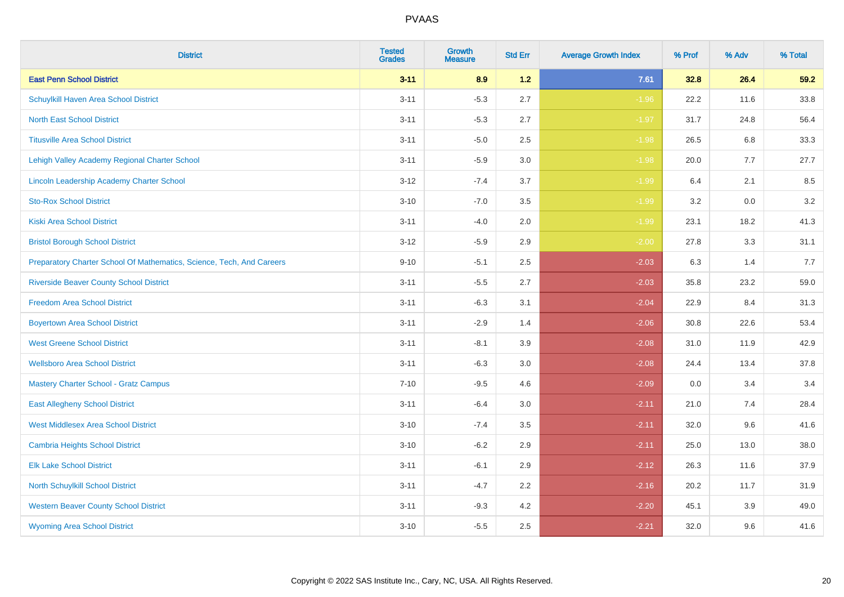| <b>District</b>                                                       | <b>Tested</b><br><b>Grades</b> | <b>Growth</b><br><b>Measure</b> | <b>Std Err</b> | <b>Average Growth Index</b> | % Prof | % Adv   | % Total |
|-----------------------------------------------------------------------|--------------------------------|---------------------------------|----------------|-----------------------------|--------|---------|---------|
| <b>East Penn School District</b>                                      | $3 - 11$                       | 8.9                             | $1.2$          | 7.61                        | 32.8   | 26.4    | 59.2    |
| Schuylkill Haven Area School District                                 | $3 - 11$                       | $-5.3$                          | 2.7            | $-1.96$                     | 22.2   | 11.6    | 33.8    |
| <b>North East School District</b>                                     | $3 - 11$                       | $-5.3$                          | 2.7            | $-1.97$                     | 31.7   | 24.8    | 56.4    |
| <b>Titusville Area School District</b>                                | $3 - 11$                       | $-5.0$                          | 2.5            | $-1.98$                     | 26.5   | 6.8     | 33.3    |
| Lehigh Valley Academy Regional Charter School                         | $3 - 11$                       | $-5.9$                          | 3.0            | $-1.98$                     | 20.0   | 7.7     | 27.7    |
| Lincoln Leadership Academy Charter School                             | $3 - 12$                       | $-7.4$                          | 3.7            | $-1.99$                     | 6.4    | 2.1     | 8.5     |
| <b>Sto-Rox School District</b>                                        | $3 - 10$                       | $-7.0$                          | 3.5            | $-1.99$                     | 3.2    | $0.0\,$ | 3.2     |
| <b>Kiski Area School District</b>                                     | $3 - 11$                       | $-4.0$                          | 2.0            | $-1.99$                     | 23.1   | 18.2    | 41.3    |
| <b>Bristol Borough School District</b>                                | $3 - 12$                       | $-5.9$                          | 2.9            | $-2.00$                     | 27.8   | 3.3     | 31.1    |
| Preparatory Charter School Of Mathematics, Science, Tech, And Careers | $9 - 10$                       | $-5.1$                          | $2.5\,$        | $-2.03$                     | 6.3    | 1.4     | 7.7     |
| <b>Riverside Beaver County School District</b>                        | $3 - 11$                       | $-5.5$                          | 2.7            | $-2.03$                     | 35.8   | 23.2    | 59.0    |
| <b>Freedom Area School District</b>                                   | $3 - 11$                       | $-6.3$                          | 3.1            | $-2.04$                     | 22.9   | 8.4     | 31.3    |
| <b>Boyertown Area School District</b>                                 | $3 - 11$                       | $-2.9$                          | 1.4            | $-2.06$                     | 30.8   | 22.6    | 53.4    |
| <b>West Greene School District</b>                                    | $3 - 11$                       | $-8.1$                          | 3.9            | $-2.08$                     | 31.0   | 11.9    | 42.9    |
| <b>Wellsboro Area School District</b>                                 | $3 - 11$                       | $-6.3$                          | 3.0            | $-2.08$                     | 24.4   | 13.4    | 37.8    |
| <b>Mastery Charter School - Gratz Campus</b>                          | $7 - 10$                       | $-9.5$                          | 4.6            | $-2.09$                     | 0.0    | 3.4     | 3.4     |
| <b>East Allegheny School District</b>                                 | $3 - 11$                       | $-6.4$                          | 3.0            | $-2.11$                     | 21.0   | 7.4     | 28.4    |
| <b>West Middlesex Area School District</b>                            | $3 - 10$                       | $-7.4$                          | 3.5            | $-2.11$                     | 32.0   | 9.6     | 41.6    |
| <b>Cambria Heights School District</b>                                | $3 - 10$                       | $-6.2$                          | 2.9            | $-2.11$                     | 25.0   | 13.0    | 38.0    |
| <b>Elk Lake School District</b>                                       | $3 - 11$                       | $-6.1$                          | 2.9            | $-2.12$                     | 26.3   | 11.6    | 37.9    |
| North Schuylkill School District                                      | $3 - 11$                       | $-4.7$                          | 2.2            | $-2.16$                     | 20.2   | 11.7    | 31.9    |
| <b>Western Beaver County School District</b>                          | $3 - 11$                       | $-9.3$                          | 4.2            | $-2.20$                     | 45.1   | 3.9     | 49.0    |
| <b>Wyoming Area School District</b>                                   | $3 - 10$                       | $-5.5$                          | 2.5            | $-2.21$                     | 32.0   | 9.6     | 41.6    |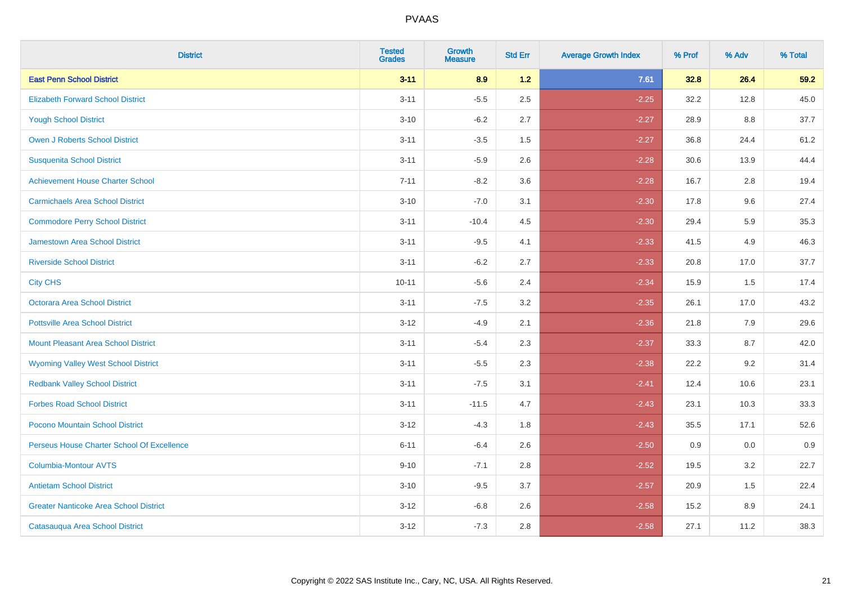| <b>District</b>                               | <b>Tested</b><br><b>Grades</b> | <b>Growth</b><br><b>Measure</b> | <b>Std Err</b> | <b>Average Growth Index</b> | % Prof | % Adv | % Total |
|-----------------------------------------------|--------------------------------|---------------------------------|----------------|-----------------------------|--------|-------|---------|
| <b>East Penn School District</b>              | $3 - 11$                       | 8.9                             | 1.2            | 7.61                        | 32.8   | 26.4  | 59.2    |
| <b>Elizabeth Forward School District</b>      | $3 - 11$                       | $-5.5$                          | 2.5            | $-2.25$                     | 32.2   | 12.8  | 45.0    |
| <b>Yough School District</b>                  | $3 - 10$                       | $-6.2$                          | 2.7            | $-2.27$                     | 28.9   | 8.8   | 37.7    |
| <b>Owen J Roberts School District</b>         | $3 - 11$                       | $-3.5$                          | 1.5            | $-2.27$                     | 36.8   | 24.4  | 61.2    |
| <b>Susquenita School District</b>             | $3 - 11$                       | $-5.9$                          | 2.6            | $-2.28$                     | 30.6   | 13.9  | 44.4    |
| <b>Achievement House Charter School</b>       | $7 - 11$                       | $-8.2$                          | 3.6            | $-2.28$                     | 16.7   | 2.8   | 19.4    |
| <b>Carmichaels Area School District</b>       | $3 - 10$                       | $-7.0$                          | 3.1            | $-2.30$                     | 17.8   | 9.6   | 27.4    |
| <b>Commodore Perry School District</b>        | $3 - 11$                       | $-10.4$                         | 4.5            | $-2.30$                     | 29.4   | 5.9   | 35.3    |
| <b>Jamestown Area School District</b>         | $3 - 11$                       | $-9.5$                          | 4.1            | $-2.33$                     | 41.5   | 4.9   | 46.3    |
| <b>Riverside School District</b>              | $3 - 11$                       | $-6.2$                          | 2.7            | $-2.33$                     | 20.8   | 17.0  | 37.7    |
| <b>City CHS</b>                               | $10 - 11$                      | $-5.6$                          | 2.4            | $-2.34$                     | 15.9   | 1.5   | 17.4    |
| <b>Octorara Area School District</b>          | $3 - 11$                       | $-7.5$                          | 3.2            | $-2.35$                     | 26.1   | 17.0  | 43.2    |
| <b>Pottsville Area School District</b>        | $3 - 12$                       | $-4.9$                          | 2.1            | $-2.36$                     | 21.8   | 7.9   | 29.6    |
| <b>Mount Pleasant Area School District</b>    | $3 - 11$                       | $-5.4$                          | 2.3            | $-2.37$                     | 33.3   | 8.7   | 42.0    |
| <b>Wyoming Valley West School District</b>    | $3 - 11$                       | $-5.5$                          | 2.3            | $-2.38$                     | 22.2   | 9.2   | 31.4    |
| <b>Redbank Valley School District</b>         | $3 - 11$                       | $-7.5$                          | 3.1            | $-2.41$                     | 12.4   | 10.6  | 23.1    |
| <b>Forbes Road School District</b>            | $3 - 11$                       | $-11.5$                         | 4.7            | $-2.43$                     | 23.1   | 10.3  | 33.3    |
| Pocono Mountain School District               | $3 - 12$                       | $-4.3$                          | 1.8            | $-2.43$                     | 35.5   | 17.1  | 52.6    |
| Perseus House Charter School Of Excellence    | $6 - 11$                       | $-6.4$                          | 2.6            | $-2.50$                     | 0.9    | 0.0   | 0.9     |
| <b>Columbia-Montour AVTS</b>                  | $9 - 10$                       | $-7.1$                          | 2.8            | $-2.52$                     | 19.5   | 3.2   | 22.7    |
| <b>Antietam School District</b>               | $3 - 10$                       | $-9.5$                          | 3.7            | $-2.57$                     | 20.9   | 1.5   | 22.4    |
| <b>Greater Nanticoke Area School District</b> | $3 - 12$                       | $-6.8$                          | 2.6            | $-2.58$                     | 15.2   | 8.9   | 24.1    |
| Catasauqua Area School District               | $3 - 12$                       | $-7.3$                          | 2.8            | $-2.58$                     | 27.1   | 11.2  | 38.3    |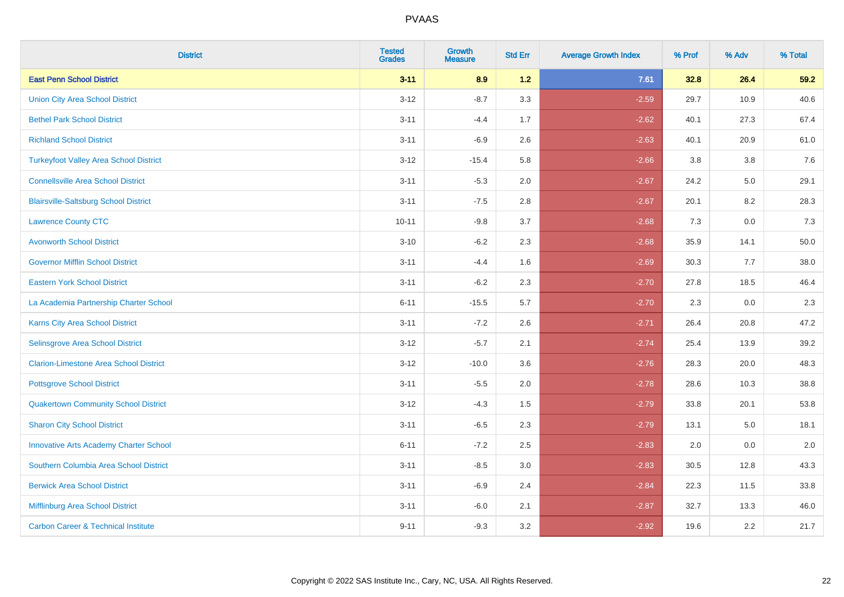| <b>District</b>                                | <b>Tested</b><br><b>Grades</b> | <b>Growth</b><br><b>Measure</b> | <b>Std Err</b> | <b>Average Growth Index</b> | % Prof | % Adv | % Total |
|------------------------------------------------|--------------------------------|---------------------------------|----------------|-----------------------------|--------|-------|---------|
| <b>East Penn School District</b>               | $3 - 11$                       | 8.9                             | 1.2            | 7.61                        | 32.8   | 26.4  | 59.2    |
| <b>Union City Area School District</b>         | $3 - 12$                       | $-8.7$                          | 3.3            | $-2.59$                     | 29.7   | 10.9  | 40.6    |
| <b>Bethel Park School District</b>             | $3 - 11$                       | $-4.4$                          | 1.7            | $-2.62$                     | 40.1   | 27.3  | 67.4    |
| <b>Richland School District</b>                | $3 - 11$                       | $-6.9$                          | 2.6            | $-2.63$                     | 40.1   | 20.9  | 61.0    |
| <b>Turkeyfoot Valley Area School District</b>  | $3 - 12$                       | $-15.4$                         | 5.8            | $-2.66$                     | 3.8    | 3.8   | 7.6     |
| <b>Connellsville Area School District</b>      | $3 - 11$                       | $-5.3$                          | 2.0            | $-2.67$                     | 24.2   | 5.0   | 29.1    |
| <b>Blairsville-Saltsburg School District</b>   | $3 - 11$                       | $-7.5$                          | 2.8            | $-2.67$                     | 20.1   | 8.2   | 28.3    |
| <b>Lawrence County CTC</b>                     | $10 - 11$                      | $-9.8$                          | 3.7            | $-2.68$                     | 7.3    | 0.0   | 7.3     |
| <b>Avonworth School District</b>               | $3 - 10$                       | $-6.2$                          | 2.3            | $-2.68$                     | 35.9   | 14.1  | 50.0    |
| <b>Governor Mifflin School District</b>        | $3 - 11$                       | $-4.4$                          | 1.6            | $-2.69$                     | 30.3   | 7.7   | 38.0    |
| <b>Eastern York School District</b>            | $3 - 11$                       | $-6.2$                          | 2.3            | $-2.70$                     | 27.8   | 18.5  | 46.4    |
| La Academia Partnership Charter School         | $6 - 11$                       | $-15.5$                         | 5.7            | $-2.70$                     | 2.3    | 0.0   | 2.3     |
| Karns City Area School District                | $3 - 11$                       | $-7.2$                          | 2.6            | $-2.71$                     | 26.4   | 20.8  | 47.2    |
| Selinsgrove Area School District               | $3 - 12$                       | $-5.7$                          | 2.1            | $-2.74$                     | 25.4   | 13.9  | 39.2    |
| <b>Clarion-Limestone Area School District</b>  | $3 - 12$                       | $-10.0$                         | 3.6            | $-2.76$                     | 28.3   | 20.0  | 48.3    |
| <b>Pottsgrove School District</b>              | $3 - 11$                       | $-5.5$                          | 2.0            | $-2.78$                     | 28.6   | 10.3  | 38.8    |
| <b>Quakertown Community School District</b>    | $3 - 12$                       | $-4.3$                          | 1.5            | $-2.79$                     | 33.8   | 20.1  | 53.8    |
| <b>Sharon City School District</b>             | $3 - 11$                       | $-6.5$                          | 2.3            | $-2.79$                     | 13.1   | 5.0   | 18.1    |
| <b>Innovative Arts Academy Charter School</b>  | $6 - 11$                       | $-7.2$                          | 2.5            | $-2.83$                     | 2.0    | 0.0   | 2.0     |
| Southern Columbia Area School District         | $3 - 11$                       | $-8.5$                          | 3.0            | $-2.83$                     | 30.5   | 12.8  | 43.3    |
| <b>Berwick Area School District</b>            | $3 - 11$                       | $-6.9$                          | 2.4            | $-2.84$                     | 22.3   | 11.5  | 33.8    |
| Mifflinburg Area School District               | $3 - 11$                       | $-6.0$                          | 2.1            | $-2.87$                     | 32.7   | 13.3  | 46.0    |
| <b>Carbon Career &amp; Technical Institute</b> | $9 - 11$                       | $-9.3$                          | 3.2            | $-2.92$                     | 19.6   | 2.2   | 21.7    |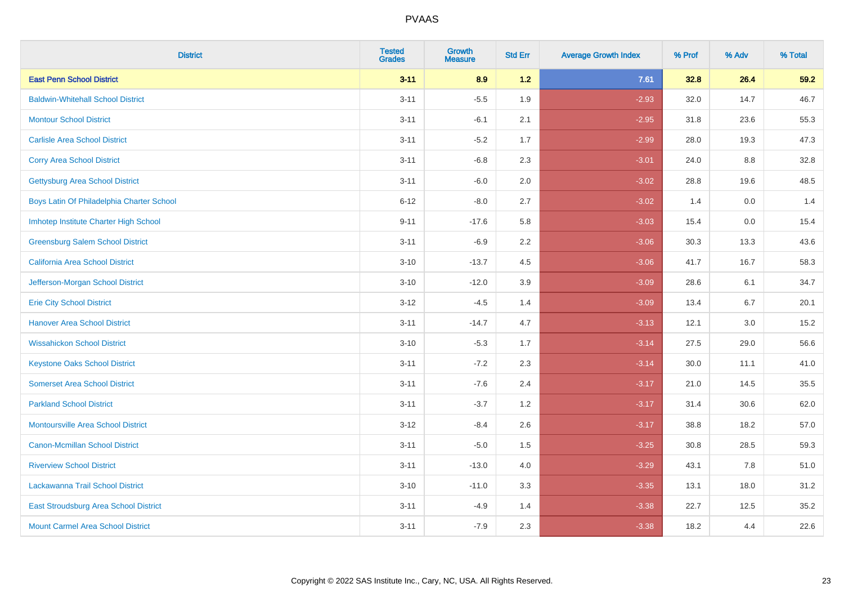| <b>District</b>                           | <b>Tested</b><br><b>Grades</b> | <b>Growth</b><br><b>Measure</b> | <b>Std Err</b> | <b>Average Growth Index</b> | % Prof | % Adv   | % Total |
|-------------------------------------------|--------------------------------|---------------------------------|----------------|-----------------------------|--------|---------|---------|
| <b>East Penn School District</b>          | $3 - 11$                       | 8.9                             | 1.2            | 7.61                        | 32.8   | 26.4    | 59.2    |
| <b>Baldwin-Whitehall School District</b>  | $3 - 11$                       | $-5.5$                          | 1.9            | $-2.93$                     | 32.0   | 14.7    | 46.7    |
| <b>Montour School District</b>            | $3 - 11$                       | $-6.1$                          | 2.1            | $-2.95$                     | 31.8   | 23.6    | 55.3    |
| <b>Carlisle Area School District</b>      | $3 - 11$                       | $-5.2$                          | 1.7            | $-2.99$                     | 28.0   | 19.3    | 47.3    |
| <b>Corry Area School District</b>         | $3 - 11$                       | $-6.8$                          | 2.3            | $-3.01$                     | 24.0   | 8.8     | 32.8    |
| <b>Gettysburg Area School District</b>    | $3 - 11$                       | $-6.0$                          | 2.0            | $-3.02$                     | 28.8   | 19.6    | 48.5    |
| Boys Latin Of Philadelphia Charter School | $6 - 12$                       | $-8.0$                          | 2.7            | $-3.02$                     | 1.4    | 0.0     | 1.4     |
| Imhotep Institute Charter High School     | $9 - 11$                       | $-17.6$                         | 5.8            | $-3.03$                     | 15.4   | 0.0     | 15.4    |
| <b>Greensburg Salem School District</b>   | $3 - 11$                       | $-6.9$                          | 2.2            | $-3.06$                     | 30.3   | 13.3    | 43.6    |
| California Area School District           | $3 - 10$                       | $-13.7$                         | 4.5            | $-3.06$                     | 41.7   | 16.7    | 58.3    |
| Jefferson-Morgan School District          | $3 - 10$                       | $-12.0$                         | 3.9            | $-3.09$                     | 28.6   | 6.1     | 34.7    |
| <b>Erie City School District</b>          | $3 - 12$                       | $-4.5$                          | 1.4            | $-3.09$                     | 13.4   | 6.7     | 20.1    |
| <b>Hanover Area School District</b>       | $3 - 11$                       | $-14.7$                         | 4.7            | $-3.13$                     | 12.1   | $3.0\,$ | 15.2    |
| <b>Wissahickon School District</b>        | $3 - 10$                       | $-5.3$                          | 1.7            | $-3.14$                     | 27.5   | 29.0    | 56.6    |
| <b>Keystone Oaks School District</b>      | $3 - 11$                       | $-7.2$                          | 2.3            | $-3.14$                     | 30.0   | 11.1    | 41.0    |
| <b>Somerset Area School District</b>      | $3 - 11$                       | $-7.6$                          | 2.4            | $-3.17$                     | 21.0   | 14.5    | 35.5    |
| <b>Parkland School District</b>           | $3 - 11$                       | $-3.7$                          | 1.2            | $-3.17$                     | 31.4   | 30.6    | 62.0    |
| <b>Montoursville Area School District</b> | $3 - 12$                       | $-8.4$                          | 2.6            | $-3.17$                     | 38.8   | 18.2    | 57.0    |
| <b>Canon-Mcmillan School District</b>     | $3 - 11$                       | $-5.0$                          | 1.5            | $-3.25$                     | 30.8   | 28.5    | 59.3    |
| <b>Riverview School District</b>          | $3 - 11$                       | $-13.0$                         | 4.0            | $-3.29$                     | 43.1   | 7.8     | 51.0    |
| Lackawanna Trail School District          | $3 - 10$                       | $-11.0$                         | 3.3            | $-3.35$                     | 13.1   | 18.0    | 31.2    |
| East Stroudsburg Area School District     | $3 - 11$                       | $-4.9$                          | 1.4            | $-3.38$                     | 22.7   | 12.5    | 35.2    |
| <b>Mount Carmel Area School District</b>  | $3 - 11$                       | $-7.9$                          | 2.3            | $-3.38$                     | 18.2   | 4.4     | 22.6    |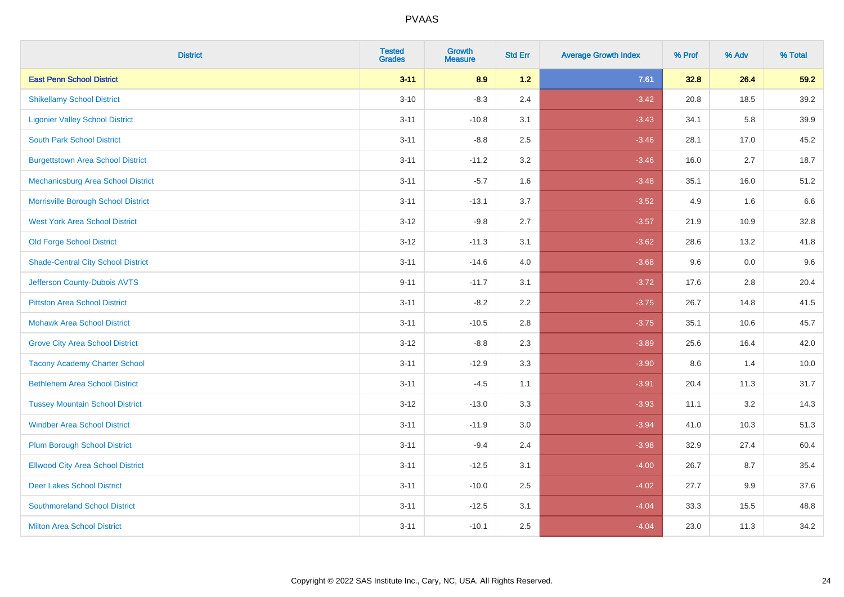| <b>District</b>                           | <b>Tested</b><br><b>Grades</b> | <b>Growth</b><br><b>Measure</b> | <b>Std Err</b> | <b>Average Growth Index</b> | % Prof | % Adv | % Total |
|-------------------------------------------|--------------------------------|---------------------------------|----------------|-----------------------------|--------|-------|---------|
| <b>East Penn School District</b>          | $3 - 11$                       | 8.9                             | $1.2$          | 7.61                        | 32.8   | 26.4  | 59.2    |
| <b>Shikellamy School District</b>         | $3 - 10$                       | $-8.3$                          | 2.4            | $-3.42$                     | 20.8   | 18.5  | 39.2    |
| <b>Ligonier Valley School District</b>    | $3 - 11$                       | $-10.8$                         | 3.1            | $-3.43$                     | 34.1   | 5.8   | 39.9    |
| <b>South Park School District</b>         | $3 - 11$                       | $-8.8$                          | 2.5            | $-3.46$                     | 28.1   | 17.0  | 45.2    |
| <b>Burgettstown Area School District</b>  | $3 - 11$                       | $-11.2$                         | 3.2            | $-3.46$                     | 16.0   | 2.7   | 18.7    |
| Mechanicsburg Area School District        | $3 - 11$                       | $-5.7$                          | 1.6            | $-3.48$                     | 35.1   | 16.0  | 51.2    |
| Morrisville Borough School District       | $3 - 11$                       | $-13.1$                         | 3.7            | $-3.52$                     | 4.9    | 1.6   | 6.6     |
| <b>West York Area School District</b>     | $3 - 12$                       | $-9.8$                          | 2.7            | $-3.57$                     | 21.9   | 10.9  | 32.8    |
| <b>Old Forge School District</b>          | $3 - 12$                       | $-11.3$                         | 3.1            | $-3.62$                     | 28.6   | 13.2  | 41.8    |
| <b>Shade-Central City School District</b> | $3 - 11$                       | $-14.6$                         | 4.0            | $-3.68$                     | 9.6    | 0.0   | 9.6     |
| Jefferson County-Dubois AVTS              | $9 - 11$                       | $-11.7$                         | 3.1            | $-3.72$                     | 17.6   | 2.8   | 20.4    |
| <b>Pittston Area School District</b>      | $3 - 11$                       | $-8.2$                          | 2.2            | $-3.75$                     | 26.7   | 14.8  | 41.5    |
| <b>Mohawk Area School District</b>        | $3 - 11$                       | $-10.5$                         | 2.8            | $-3.75$                     | 35.1   | 10.6  | 45.7    |
| <b>Grove City Area School District</b>    | $3 - 12$                       | $-8.8$                          | 2.3            | $-3.89$                     | 25.6   | 16.4  | 42.0    |
| <b>Tacony Academy Charter School</b>      | $3 - 11$                       | $-12.9$                         | 3.3            | $-3.90$                     | 8.6    | 1.4   | 10.0    |
| <b>Bethlehem Area School District</b>     | $3 - 11$                       | $-4.5$                          | 1.1            | $-3.91$                     | 20.4   | 11.3  | 31.7    |
| <b>Tussey Mountain School District</b>    | $3 - 12$                       | $-13.0$                         | 3.3            | $-3.93$                     | 11.1   | 3.2   | 14.3    |
| <b>Windber Area School District</b>       | $3 - 11$                       | $-11.9$                         | 3.0            | $-3.94$                     | 41.0   | 10.3  | 51.3    |
| <b>Plum Borough School District</b>       | $3 - 11$                       | $-9.4$                          | 2.4            | $-3.98$                     | 32.9   | 27.4  | 60.4    |
| <b>Ellwood City Area School District</b>  | $3 - 11$                       | $-12.5$                         | 3.1            | $-4.00$                     | 26.7   | 8.7   | 35.4    |
| <b>Deer Lakes School District</b>         | $3 - 11$                       | $-10.0$                         | 2.5            | $-4.02$                     | 27.7   | 9.9   | 37.6    |
| <b>Southmoreland School District</b>      | $3 - 11$                       | $-12.5$                         | 3.1            | $-4.04$                     | 33.3   | 15.5  | 48.8    |
| <b>Milton Area School District</b>        | $3 - 11$                       | $-10.1$                         | 2.5            | $-4.04$                     | 23.0   | 11.3  | 34.2    |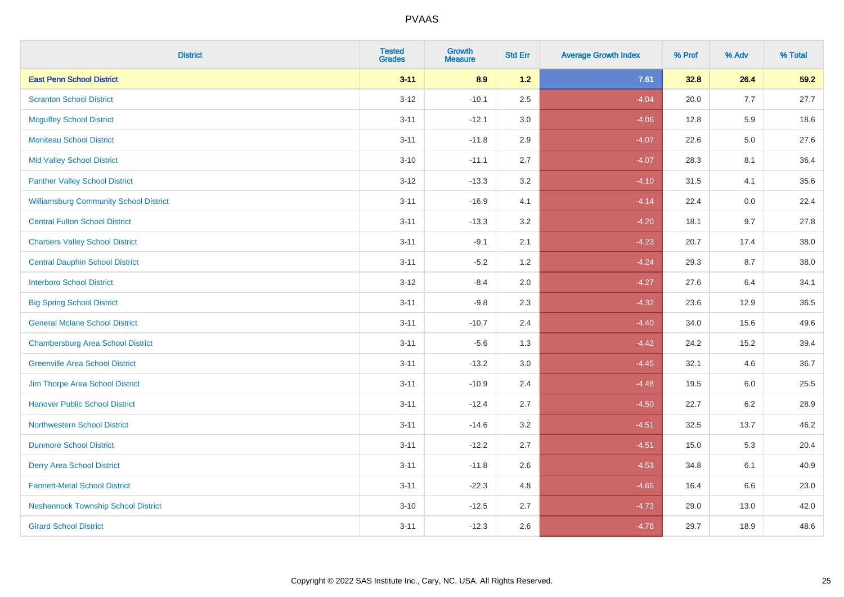| <b>District</b>                               | <b>Tested</b><br><b>Grades</b> | <b>Growth</b><br><b>Measure</b> | <b>Std Err</b> | <b>Average Growth Index</b> | % Prof | % Adv   | % Total |
|-----------------------------------------------|--------------------------------|---------------------------------|----------------|-----------------------------|--------|---------|---------|
| <b>East Penn School District</b>              | $3 - 11$                       | 8.9                             | $1.2$          | 7.61                        | 32.8   | 26.4    | 59.2    |
| <b>Scranton School District</b>               | $3 - 12$                       | $-10.1$                         | 2.5            | $-4.04$                     | 20.0   | 7.7     | 27.7    |
| <b>Mcguffey School District</b>               | $3 - 11$                       | $-12.1$                         | 3.0            | $-4.06$                     | 12.8   | 5.9     | 18.6    |
| <b>Moniteau School District</b>               | $3 - 11$                       | $-11.8$                         | 2.9            | $-4.07$                     | 22.6   | $5.0\,$ | 27.6    |
| <b>Mid Valley School District</b>             | $3 - 10$                       | $-11.1$                         | 2.7            | $-4.07$                     | 28.3   | 8.1     | 36.4    |
| <b>Panther Valley School District</b>         | $3 - 12$                       | $-13.3$                         | 3.2            | $-4.10$                     | 31.5   | 4.1     | 35.6    |
| <b>Williamsburg Community School District</b> | $3 - 11$                       | $-16.9$                         | 4.1            | $-4.14$                     | 22.4   | 0.0     | 22.4    |
| <b>Central Fulton School District</b>         | $3 - 11$                       | $-13.3$                         | 3.2            | $-4.20$                     | 18.1   | 9.7     | 27.8    |
| <b>Chartiers Valley School District</b>       | $3 - 11$                       | $-9.1$                          | 2.1            | $-4.23$                     | 20.7   | 17.4    | 38.0    |
| <b>Central Dauphin School District</b>        | $3 - 11$                       | $-5.2$                          | 1.2            | $-4.24$                     | 29.3   | 8.7     | 38.0    |
| <b>Interboro School District</b>              | $3-12$                         | $-8.4$                          | 2.0            | $-4.27$                     | 27.6   | 6.4     | 34.1    |
| <b>Big Spring School District</b>             | $3 - 11$                       | $-9.8$                          | 2.3            | $-4.32$                     | 23.6   | 12.9    | 36.5    |
| <b>General Mclane School District</b>         | $3 - 11$                       | $-10.7$                         | 2.4            | $-4.40$                     | 34.0   | 15.6    | 49.6    |
| <b>Chambersburg Area School District</b>      | $3 - 11$                       | $-5.6$                          | 1.3            | $-4.42$                     | 24.2   | 15.2    | 39.4    |
| <b>Greenville Area School District</b>        | $3 - 11$                       | $-13.2$                         | 3.0            | $-4.45$                     | 32.1   | 4.6     | 36.7    |
| Jim Thorpe Area School District               | $3 - 11$                       | $-10.9$                         | 2.4            | $-4.48$                     | 19.5   | 6.0     | 25.5    |
| <b>Hanover Public School District</b>         | $3 - 11$                       | $-12.4$                         | 2.7            | $-4.50$                     | 22.7   | 6.2     | 28.9    |
| <b>Northwestern School District</b>           | $3 - 11$                       | $-14.6$                         | 3.2            | $-4.51$                     | 32.5   | 13.7    | 46.2    |
| <b>Dunmore School District</b>                | $3 - 11$                       | $-12.2$                         | 2.7            | $-4.51$                     | 15.0   | 5.3     | 20.4    |
| <b>Derry Area School District</b>             | $3 - 11$                       | $-11.8$                         | 2.6            | $-4.53$                     | 34.8   | 6.1     | 40.9    |
| <b>Fannett-Metal School District</b>          | $3 - 11$                       | $-22.3$                         | 4.8            | $-4.65$                     | 16.4   | 6.6     | 23.0    |
| <b>Neshannock Township School District</b>    | $3 - 10$                       | $-12.5$                         | 2.7            | $-4.73$                     | 29.0   | 13.0    | 42.0    |
| <b>Girard School District</b>                 | $3 - 11$                       | $-12.3$                         | 2.6            | $-4.76$                     | 29.7   | 18.9    | 48.6    |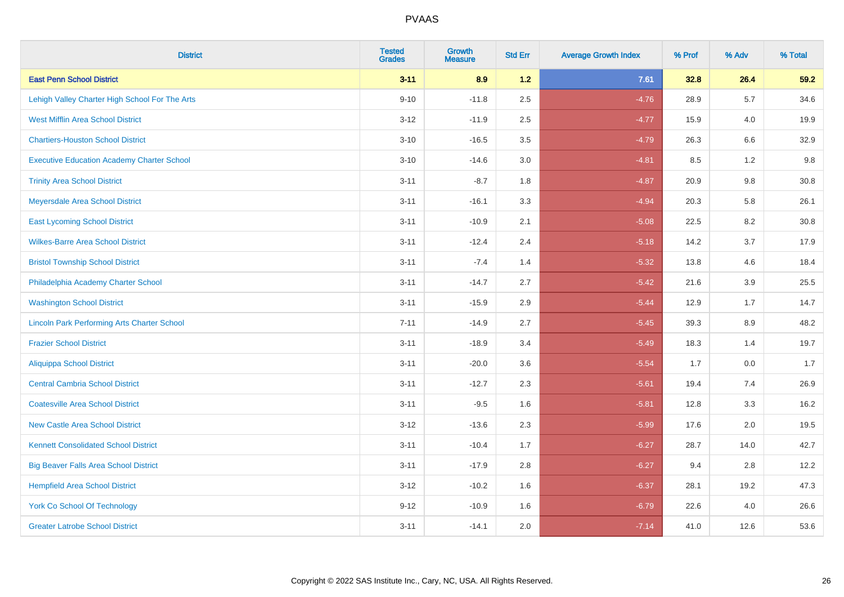| <b>District</b>                                    | <b>Tested</b><br><b>Grades</b> | <b>Growth</b><br><b>Measure</b> | <b>Std Err</b> | <b>Average Growth Index</b> | % Prof | % Adv   | % Total |
|----------------------------------------------------|--------------------------------|---------------------------------|----------------|-----------------------------|--------|---------|---------|
| <b>East Penn School District</b>                   | $3 - 11$                       | 8.9                             | $1.2$          | 7.61                        | 32.8   | 26.4    | 59.2    |
| Lehigh Valley Charter High School For The Arts     | $9 - 10$                       | $-11.8$                         | 2.5            | $-4.76$                     | 28.9   | 5.7     | 34.6    |
| <b>West Mifflin Area School District</b>           | $3 - 12$                       | $-11.9$                         | 2.5            | $-4.77$                     | 15.9   | 4.0     | 19.9    |
| <b>Chartiers-Houston School District</b>           | $3 - 10$                       | $-16.5$                         | 3.5            | $-4.79$                     | 26.3   | $6.6\,$ | 32.9    |
| <b>Executive Education Academy Charter School</b>  | $3 - 10$                       | $-14.6$                         | 3.0            | $-4.81$                     | 8.5    | 1.2     | 9.8     |
| <b>Trinity Area School District</b>                | $3 - 11$                       | $-8.7$                          | 1.8            | $-4.87$                     | 20.9   | 9.8     | 30.8    |
| Meyersdale Area School District                    | $3 - 11$                       | $-16.1$                         | 3.3            | $-4.94$                     | 20.3   | 5.8     | 26.1    |
| <b>East Lycoming School District</b>               | $3 - 11$                       | $-10.9$                         | 2.1            | $-5.08$                     | 22.5   | 8.2     | 30.8    |
| <b>Wilkes-Barre Area School District</b>           | $3 - 11$                       | $-12.4$                         | 2.4            | $-5.18$                     | 14.2   | 3.7     | 17.9    |
| <b>Bristol Township School District</b>            | $3 - 11$                       | $-7.4$                          | 1.4            | $-5.32$                     | 13.8   | 4.6     | 18.4    |
| Philadelphia Academy Charter School                | $3 - 11$                       | $-14.7$                         | 2.7            | $-5.42$                     | 21.6   | 3.9     | 25.5    |
| <b>Washington School District</b>                  | $3 - 11$                       | $-15.9$                         | 2.9            | $-5.44$                     | 12.9   | 1.7     | 14.7    |
| <b>Lincoln Park Performing Arts Charter School</b> | $7 - 11$                       | $-14.9$                         | 2.7            | $-5.45$                     | 39.3   | 8.9     | 48.2    |
| <b>Frazier School District</b>                     | $3 - 11$                       | $-18.9$                         | 3.4            | $-5.49$                     | 18.3   | 1.4     | 19.7    |
| <b>Aliquippa School District</b>                   | $3 - 11$                       | $-20.0$                         | 3.6            | $-5.54$                     | 1.7    | 0.0     | 1.7     |
| <b>Central Cambria School District</b>             | $3 - 11$                       | $-12.7$                         | 2.3            | $-5.61$                     | 19.4   | 7.4     | 26.9    |
| <b>Coatesville Area School District</b>            | $3 - 11$                       | $-9.5$                          | 1.6            | $-5.81$                     | 12.8   | 3.3     | 16.2    |
| <b>New Castle Area School District</b>             | $3 - 12$                       | $-13.6$                         | 2.3            | $-5.99$                     | 17.6   | 2.0     | 19.5    |
| <b>Kennett Consolidated School District</b>        | $3 - 11$                       | $-10.4$                         | 1.7            | $-6.27$                     | 28.7   | 14.0    | 42.7    |
| <b>Big Beaver Falls Area School District</b>       | $3 - 11$                       | $-17.9$                         | 2.8            | $-6.27$                     | 9.4    | 2.8     | 12.2    |
| <b>Hempfield Area School District</b>              | $3 - 12$                       | $-10.2$                         | 1.6            | $-6.37$                     | 28.1   | 19.2    | 47.3    |
| <b>York Co School Of Technology</b>                | $9 - 12$                       | $-10.9$                         | 1.6            | $-6.79$                     | 22.6   | 4.0     | 26.6    |
| <b>Greater Latrobe School District</b>             | $3 - 11$                       | $-14.1$                         | 2.0            | $-7.14$                     | 41.0   | 12.6    | 53.6    |